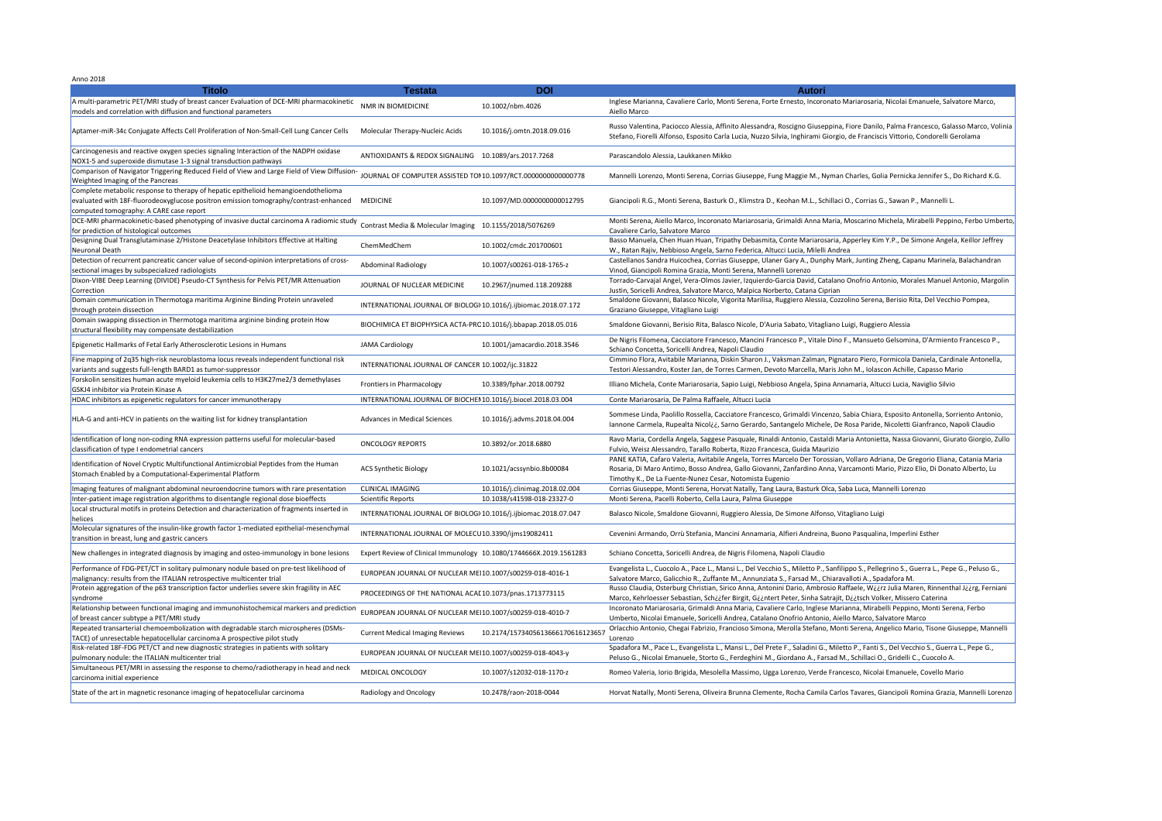Anno 2018

| $\sim$ oww<br>NMR IN BIOMEDICINE                                   | 10.1002/nbm.4026                 | Aulvil<br>Inglese Marianna, Cavaliere Carlo, Monti Serena, Forte Ernesto, Incoronato Mariarosaria, Nicolai Emanuele, Salvatore Marco,<br>Aiello Marco                                                                                                                                                                    |
|--------------------------------------------------------------------|----------------------------------|--------------------------------------------------------------------------------------------------------------------------------------------------------------------------------------------------------------------------------------------------------------------------------------------------------------------------|
| Molecular Therapy-Nucleic Acids                                    | 10.1016/j.omtn.2018.09.016       | Russo Valentina, Paciocco Alessia, Affinito Alessandra, Roscigno Giuseppina, Fiore Danilo, Palma Francesco, Galasso Marco, Volinia<br>Stefano, Fiorelli Alfonso, Esposito Carla Lucia, Nuzzo Silvia, Inghirami Giorgio, de Franciscis Vittorio, Condorelli Gerolama                                                      |
| ANTIOXIDANTS & REDOX SIGNALING 10.1089/ars.2017.7268               |                                  | Parascandolo Alessia, Laukkanen Mikko                                                                                                                                                                                                                                                                                    |
| JOURNAL OF COMPUTER ASSISTED TOI 10.1097/RCT.0000000000000778      |                                  | Mannelli Lorenzo, Monti Serena, Corrias Giuseppe, Fung Maggie M., Nyman Charles, Golia Pernicka Jennifer S., Do Richard K.G.                                                                                                                                                                                             |
| <b>MEDICINE</b>                                                    | 10.1097/MD.0000000000012795      | Giancipoli R.G., Monti Serena, Basturk O., Klimstra D., Keohan M.L., Schillaci O., Corrias G., Sawan P., Mannelli L.                                                                                                                                                                                                     |
| Contrast Media & Molecular Imaging 10.1155/2018/5076269            |                                  | Monti Serena, Aiello Marco, Incoronato Mariarosaria, Grimaldi Anna Maria, Moscarino Michela, Mirabelli Peppino, Ferbo Umberto,<br>Cavaliere Carlo, Salvatore Marco                                                                                                                                                       |
| ChemMedChem                                                        | 10.1002/cmdc.201700601           | Basso Manuela, Chen Huan Huan, Tripathy Debasmita, Conte Mariarosaria, Apperley Kim Y.P., De Simone Angela, Keillor Jeffrey<br>W., Ratan Rajiv, Nebbioso Angela, Sarno Federica, Altucci Lucia, Milelli Andrea                                                                                                           |
| <b>Abdominal Radiology</b>                                         | 10.1007/s00261-018-1765-z        | Castellanos Sandra Huicochea, Corrias Giuseppe, Ulaner Gary A., Dunphy Mark, Junting Zheng, Capanu Marinela, Balachandran<br>Vinod, Giancipoli Romina Grazia, Monti Serena, Mannelli Lorenzo                                                                                                                             |
| JOURNAL OF NUCLEAR MEDICINE                                        | 10.2967/jnumed.118.209288        | Torrado-Carvajal Angel, Vera-Olmos Javier, Izquierdo-Garcia David, Catalano Onofrio Antonio, Morales Manuel Antonio, Margolin<br>Justin, Soricelli Andrea, Salvatore Marco, Malpica Norberto, Catana Ciprian                                                                                                             |
| INTERNATIONAL JOURNAL OF BIOLOGI 10.1016/j.ijbiomac.2018.07.172    |                                  | Smaldone Giovanni, Balasco Nicole, Vigorita Marilisa, Ruggiero Alessia, Cozzolino Serena, Berisio Rita, Del Vecchio Pompea,<br>Graziano Giuseppe, Vitagliano Luigi                                                                                                                                                       |
| BIOCHIMICA ET BIOPHYSICA ACTA-PRC 10.1016/j.bbapap.2018.05.016     |                                  | Smaldone Giovanni, Berisio Rita, Balasco Nicole, D'Auria Sabato, Vitagliano Luigi, Ruggiero Alessia                                                                                                                                                                                                                      |
| <b>JAMA Cardiology</b>                                             | 10.1001/jamacardio.2018.3546     | De Nigris Filomena, Cacciatore Francesco, Mancini Francesco P., Vitale Dino F., Mansueto Gelsomina, D'Armiento Francesco P.,<br>Schiano Concetta, Soricelli Andrea, Napoli Claudio                                                                                                                                       |
| INTERNATIONAL JOURNAL OF CANCER 10.1002/ijc.31822                  |                                  | Cimmino Flora, Avitabile Marianna, Diskin Sharon J., Vaksman Zalman, Pignataro Piero, Formicola Daniela, Cardinale Antonella,<br>Testori Alessandro, Koster Jan, de Torres Carmen, Devoto Marcella, Maris John M., Iolascon Achille, Capasso Mario                                                                       |
| Frontiers in Pharmacology                                          | 10.3389/fphar.2018.00792         | Illiano Michela, Conte Mariarosaria, Sapio Luigi, Nebbioso Angela, Spina Annamaria, Altucci Lucia, Naviglio Silvio                                                                                                                                                                                                       |
| INTERNATIONAL JOURNAL OF BIOCHEI 10.1016/j.biocel.2018.03.004      |                                  | Conte Mariarosaria, De Palma Raffaele, Altucci Lucia                                                                                                                                                                                                                                                                     |
| <b>Advances in Medical Sciences</b>                                | 10.1016/j.advms.2018.04.004      | Sommese Linda, Paolillo Rossella, Cacciatore Francesco, Grimaldi Vincenzo, Sabia Chiara, Esposito Antonella, Sorriento Antonio,<br>Iannone Carmela, Rupealta Nicol¿¿, Sarno Gerardo, Santangelo Michele, De Rosa Paride, Nicoletti Gianfranco, Napoli Claudio                                                            |
| <b>ONCOLOGY REPORTS</b>                                            | 10.3892/or.2018.6880             | Ravo Maria, Cordella Angela, Saggese Pasquale, Rinaldi Antonio, Castaldi Maria Antonietta, Nassa Giovanni, Giurato Giorgio, Zullo<br>Fulvio, Weisz Alessandro, Tarallo Roberta, Rizzo Francesca, Guida Maurizio                                                                                                          |
| <b>ACS Synthetic Biology</b>                                       | 10.1021/acssynbio.8b00084        | PANE KATIA, Cafaro Valeria, Avitabile Angela, Torres Marcelo Der Torossian, Vollaro Adriana, De Gregorio Eliana, Catania Maria<br>Rosaria, Di Maro Antimo, Bosso Andrea, Gallo Giovanni, Zanfardino Anna, Varcamonti Mario, Pizzo Elio, Di Donato Alberto, Lu<br>Timothy K., De La Fuente-Nunez Cesar, Notomista Eugenio |
| <b>CLINICAL IMAGING</b>                                            | 10.1016/j.clinimag.2018.02.004   | Corrias Giuseppe, Monti Serena, Horvat Natally, Tang Laura, Basturk Olca, Saba Luca, Mannelli Lorenzo                                                                                                                                                                                                                    |
| Scientific Reports                                                 | 10.1038/s41598-018-23327-0       | Monti Serena, Pacelli Roberto, Cella Laura, Palma Giuseppe                                                                                                                                                                                                                                                               |
| INTERNATIONAL JOURNAL OF BIOLOGI 10.1016/j.ijbiomac.2018.07.047    |                                  | Balasco Nicole, Smaldone Giovanni, Ruggiero Alessia, De Simone Alfonso, Vitagliano Luigi                                                                                                                                                                                                                                 |
| INTERNATIONAL JOURNAL OF MOLECU 10.3390/ijms19082411               |                                  | Cevenini Armando, Orrù Stefania, Mancini Annamaria, Alfieri Andreina, Buono Pasqualina, Imperlini Esther                                                                                                                                                                                                                 |
| Expert Review of Clinical Immunology 10.1080/1744666X.2019.1561283 |                                  | Schiano Concetta, Soricelli Andrea, de Nigris Filomena, Napoli Claudio                                                                                                                                                                                                                                                   |
| EUROPEAN JOURNAL OF NUCLEAR MEI 10.1007/s00259-018-4016-1          |                                  | Evangelista L., Cuocolo A., Pace L., Mansi L., Del Vecchio S., Miletto P., Sanfilippo S., Pellegrino S., Guerra L., Pepe G., Peluso G.,<br>Salvatore Marco, Galicchio R., Zuffante M., Annunziata S., Farsad M., Chiaravalloti A., Spadafora M.                                                                          |
| PROCEEDINGS OF THE NATIONAL ACAI 10.1073/pnas.1713773115           |                                  | Russo Claudia, Osterburg Christian, Sirico Anna, Antonini Dario, Ambrosio Raffaele, Wiirz Julia Maren, Rinnenthal Jiirg, Ferniani<br>Marco, Kehrloesser Sebastian, Sch¿¿fer Birgit, G¿¿ntert Peter, Sinha Satrajit, D¿¿tsch Volker, Missero Caterina                                                                     |
| EUROPEAN JOURNAL OF NUCLEAR MEI 10.1007/s00259-018-4010-7          |                                  | Incoronato Mariarosaria, Grimaldi Anna Maria, Cavaliere Carlo, Inglese Marianna, Mirabelli Peppino, Monti Serena, Ferbo<br>Umberto, Nicolai Emanuele, Soricelli Andrea, Catalano Onofrio Antonio, Aiello Marco, Salvatore Marco                                                                                          |
| <b>Current Medical Imaging Reviews</b>                             | 10.2174/157340561366617061612365 | Orlacchio Antonio, Chegai Fabrizio, Francioso Simona, Merolla Stefano, Monti Serena, Angelico Mario, Tisone Giuseppe, Mannelli<br>Lorenzo                                                                                                                                                                                |
| EUROPEAN JOURNAL OF NUCLEAR MEI 10.1007/s00259-018-4043-y          |                                  | Spadafora M., Pace L., Evangelista L., Mansi L., Del Prete F., Saladini G., Miletto P., Fanti S., Del Vecchio S., Guerra L., Pepe G.,<br>Peluso G., Nicolai Emanuele, Storto G., Ferdeghini M., Giordano A., Farsad M., Schillaci O., Gridelli C., Cuocolo A.                                                            |
| MEDICAL ONCOLOGY                                                   | 10.1007/s12032-018-1170-z        | Romeo Valeria, Iorio Brigida, Mesolella Massimo, Ugga Lorenzo, Verde Francesco, Nicolai Emanuele, Covello Mario                                                                                                                                                                                                          |
| <b>Radiology and Oncology</b>                                      | 10.2478/raon-2018-0044           | Horvat Natally, Monti Serena, Oliveira Brunna Clemente, Rocha Camila Carlos Tavares, Giancipoli Romina Grazia, Mannelli Lorenzo                                                                                                                                                                                          |

| <b>Titolo</b>                                                                                                                                                                                                         | <b>Testata</b>                                                     | <b>DOI</b>                        | <b>Autori</b>                                                                                                                                                                                                                                                                                                            |
|-----------------------------------------------------------------------------------------------------------------------------------------------------------------------------------------------------------------------|--------------------------------------------------------------------|-----------------------------------|--------------------------------------------------------------------------------------------------------------------------------------------------------------------------------------------------------------------------------------------------------------------------------------------------------------------------|
| A multi-parametric PET/MRI study of breast cancer Evaluation of DCE-MRI pharmacokinetic<br>models and correlation with diffusion and functional parameters                                                            | NMR IN BIOMEDICINE                                                 | 10.1002/nbm.4026                  | Inglese Marianna, Cavaliere Carlo, Monti Serena, Forte Ernesto, Incoronato Mariarosaria, Nicolai Emanuele, Salvatore Marco,<br>Aiello Marco                                                                                                                                                                              |
| Aptamer-miR-34c Conjugate Affects Cell Proliferation of Non-Small-Cell Lung Cancer Cells                                                                                                                              | Molecular Therapy-Nucleic Acids                                    | 10.1016/j.omtn.2018.09.016        | Russo Valentina, Paciocco Alessia, Affinito Alessandra, Roscigno Giuseppina, Fiore Danilo, Palma Francesco, Galasso Marco, Volinia<br>Stefano, Fiorelli Alfonso, Esposito Carla Lucia, Nuzzo Silvia, Inghirami Giorgio, de Franciscis Vittorio, Condorelli Gerolama                                                      |
| Carcinogenesis and reactive oxygen species signaling Interaction of the NADPH oxidase<br>NOX1-5 and superoxide dismutase 1-3 signal transduction pathways                                                             | ANTIOXIDANTS & REDOX SIGNALING 10.1089/ars.2017.7268               |                                   | Parascandolo Alessia, Laukkanen Mikko                                                                                                                                                                                                                                                                                    |
| Comparison of Navigator Triggering Reduced Field of View and Large Field of View Diffusion-<br><b>Weighted Imaging of the Pancreas</b>                                                                                | JOURNAL OF COMPUTER ASSISTED TOI 10.1097/RCT.0000000000000778      |                                   | Mannelli Lorenzo, Monti Serena, Corrias Giuseppe, Fung Maggie M., Nyman Charles, Golia Pernicka Jennifer S., Do Richard K.G.                                                                                                                                                                                             |
| Complete metabolic response to therapy of hepatic epithelioid hemangioendothelioma<br>evaluated with 18F-fluorodeoxyglucose positron emission tomography/contrast-enhanced<br>computed tomography: A CARE case report | <b>MEDICINE</b>                                                    | 10.1097/MD.0000000000012795       | Giancipoli R.G., Monti Serena, Basturk O., Klimstra D., Keohan M.L., Schillaci O., Corrias G., Sawan P., Mannelli L.                                                                                                                                                                                                     |
| DCE-MRI pharmacokinetic-based phenotyping of invasive ductal carcinoma A radiomic study<br>for prediction of histological outcomes                                                                                    | <b>Contrast Media &amp; Molecular Imaging</b>                      | 10.1155/2018/5076269              | Monti Serena, Aiello Marco, Incoronato Mariarosaria, Grimaldi Anna Maria, Moscarino Michela, Mirabelli Peppino, Ferbo Umberto,<br>Cavaliere Carlo, Salvatore Marco                                                                                                                                                       |
| Designing Dual Transglutaminase 2/Histone Deacetylase Inhibitors Effective at Halting<br>Neuronal Death                                                                                                               | ChemMedChem                                                        | 10.1002/cmdc.201700601            | Basso Manuela, Chen Huan Huan, Tripathy Debasmita, Conte Mariarosaria, Apperley Kim Y.P., De Simone Angela, Keillor Jeffrey<br>W., Ratan Rajiv, Nebbioso Angela, Sarno Federica, Altucci Lucia, Milelli Andrea                                                                                                           |
| Detection of recurrent pancreatic cancer value of second-opinion interpretations of cross-<br>sectional images by subspecialized radiologists                                                                         | <b>Abdominal Radiology</b>                                         | 10.1007/s00261-018-1765-z         | Castellanos Sandra Huicochea, Corrias Giuseppe, Ulaner Gary A., Dunphy Mark, Junting Zheng, Capanu Marinela, Balachandran<br>Vinod, Giancipoli Romina Grazia, Monti Serena, Mannelli Lorenzo                                                                                                                             |
| Dixon-VIBE Deep Learning (DIVIDE) Pseudo-CT Synthesis for Pelvis PET/MR Attenuation<br>Correction                                                                                                                     | JOURNAL OF NUCLEAR MEDICINE                                        | 10.2967/jnumed.118.209288         | Torrado-Carvajal Angel, Vera-Olmos Javier, Izquierdo-Garcia David, Catalano Onofrio Antonio, Morales Manuel Antonio, Margolin<br>Justin, Soricelli Andrea, Salvatore Marco, Malpica Norberto, Catana Ciprian                                                                                                             |
| Domain communication in Thermotoga maritima Arginine Binding Protein unraveled<br>through protein dissection                                                                                                          | INTERNATIONAL JOURNAL OF BIOLOGI 10.1016/j.ijbiomac.2018.07.172    |                                   | Smaldone Giovanni, Balasco Nicole, Vigorita Marilisa, Ruggiero Alessia, Cozzolino Serena, Berisio Rita, Del Vecchio Pompea,<br>Graziano Giuseppe, Vitagliano Luigi                                                                                                                                                       |
| Domain swapping dissection in Thermotoga maritima arginine binding protein How<br>structural flexibility may compensate destabilization                                                                               | BIOCHIMICA ET BIOPHYSICA ACTA-PRC 10.1016/j.bbapap.2018.05.016     |                                   | Smaldone Giovanni, Berisio Rita, Balasco Nicole, D'Auria Sabato, Vitagliano Luigi, Ruggiero Alessia                                                                                                                                                                                                                      |
| Epigenetic Hallmarks of Fetal Early Atherosclerotic Lesions in Humans                                                                                                                                                 | <b>JAMA Cardiology</b>                                             | 10.1001/jamacardio.2018.3546      | De Nigris Filomena, Cacciatore Francesco, Mancini Francesco P., Vitale Dino F., Mansueto Gelsomina, D'Armiento Francesco P.,<br>Schiano Concetta, Soricelli Andrea, Napoli Claudio                                                                                                                                       |
| Fine mapping of 2q35 high-risk neuroblastoma locus reveals independent functional risk<br>variants and suggests full-length BARD1 as tumor-suppressor                                                                 | INTERNATIONAL JOURNAL OF CANCER 10.1002/ijc.31822                  |                                   | Cimmino Flora, Avitabile Marianna, Diskin Sharon J., Vaksman Zalman, Pignataro Piero, Formicola Daniela, Cardinale Antonella,<br>Testori Alessandro, Koster Jan, de Torres Carmen, Devoto Marcella, Maris John M., Iolascon Achille, Capasso Mario                                                                       |
| Forskolin sensitizes human acute myeloid leukemia cells to H3K27me2/3 demethylases<br>GSKJ4 inhibitor via Protein Kinase A                                                                                            | <b>Frontiers in Pharmacology</b>                                   | 10.3389/fphar.2018.00792          | Illiano Michela, Conte Mariarosaria, Sapio Luigi, Nebbioso Angela, Spina Annamaria, Altucci Lucia, Naviglio Silvio                                                                                                                                                                                                       |
| HDAC inhibitors as epigenetic regulators for cancer immunotherapy                                                                                                                                                     | INTERNATIONAL JOURNAL OF BIOCHEI 10.1016/j.biocel.2018.03.004      |                                   | Conte Mariarosaria, De Palma Raffaele, Altucci Lucia                                                                                                                                                                                                                                                                     |
| HLA-G and anti-HCV in patients on the waiting list for kidney transplantation                                                                                                                                         | <b>Advances in Medical Sciences</b>                                | 10.1016/j.advms.2018.04.004       | Sommese Linda, Paolillo Rossella, Cacciatore Francesco, Grimaldi Vincenzo, Sabia Chiara, Esposito Antonella, Sorriento Antonio,<br>Iannone Carmela, Rupealta Nicolii, Sarno Gerardo, Santangelo Michele, De Rosa Paride, Nicoletti Gianfranco, Napoli Claudio                                                            |
| Identification of long non-coding RNA expression patterns useful for molecular-based<br>classification of type I endometrial cancers                                                                                  | <b>ONCOLOGY REPORTS</b>                                            | 10.3892/or.2018.6880              | Ravo Maria, Cordella Angela, Saggese Pasquale, Rinaldi Antonio, Castaldi Maria Antonietta, Nassa Giovanni, Giurato Giorgio, Zullo<br>Fulvio, Weisz Alessandro, Tarallo Roberta, Rizzo Francesca, Guida Maurizio                                                                                                          |
| Identification of Novel Cryptic Multifunctional Antimicrobial Peptides from the Human<br>Stomach Enabled by a Computational-Experimental Platform                                                                     | <b>ACS Synthetic Biology</b>                                       | 10.1021/acssynbio.8b00084         | PANE KATIA, Cafaro Valeria, Avitabile Angela, Torres Marcelo Der Torossian, Vollaro Adriana, De Gregorio Eliana, Catania Maria<br>Rosaria, Di Maro Antimo, Bosso Andrea, Gallo Giovanni, Zanfardino Anna, Varcamonti Mario, Pizzo Elio, Di Donato Alberto, Lu<br>Timothy K., De La Fuente-Nunez Cesar, Notomista Eugenio |
| Imaging features of malignant abdominal neuroendocrine tumors with rare presentation                                                                                                                                  | <b>CLINICAL IMAGING</b>                                            | 10.1016/j.clinimag.2018.02.004    | Corrias Giuseppe, Monti Serena, Horvat Natally, Tang Laura, Basturk Olca, Saba Luca, Mannelli Lorenzo                                                                                                                                                                                                                    |
| Inter-patient image registration algorithms to disentangle regional dose bioeffects                                                                                                                                   | <b>Scientific Reports</b>                                          | 10.1038/s41598-018-23327-0        | Monti Serena, Pacelli Roberto, Cella Laura, Palma Giuseppe                                                                                                                                                                                                                                                               |
| Local structural motifs in proteins Detection and characterization of fragments inserted in<br>helices                                                                                                                | INTERNATIONAL JOURNAL OF BIOLOGI 10.1016/j.ijbiomac.2018.07.047    |                                   | Balasco Nicole, Smaldone Giovanni, Ruggiero Alessia, De Simone Alfonso, Vitagliano Luigi                                                                                                                                                                                                                                 |
| Molecular signatures of the insulin-like growth factor 1-mediated epithelial-mesenchymal<br>transition in breast, lung and gastric cancers                                                                            | INTERNATIONAL JOURNAL OF MOLECU 10.3390/ijms19082411               |                                   | Cevenini Armando, Orrù Stefania, Mancini Annamaria, Alfieri Andreina, Buono Pasqualina, Imperlini Esther                                                                                                                                                                                                                 |
| New challenges in integrated diagnosis by imaging and osteo-immunology in bone lesions                                                                                                                                | Expert Review of Clinical Immunology 10.1080/1744666X.2019.1561283 |                                   | Schiano Concetta, Soricelli Andrea, de Nigris Filomena, Napoli Claudio                                                                                                                                                                                                                                                   |
| Performance of FDG-PET/CT in solitary pulmonary nodule based on pre-test likelihood of<br>malignancy: results from the ITALIAN retrospective multicenter trial                                                        | EUROPEAN JOURNAL OF NUCLEAR MEI 10.1007/s00259-018-4016-1          |                                   | Evangelista L., Cuocolo A., Pace L., Mansi L., Del Vecchio S., Miletto P., Sanfilippo S., Pellegrino S., Guerra L., Pepe G., Peluso G.,<br>Salvatore Marco, Galicchio R., Zuffante M., Annunziata S., Farsad M., Chiaravalloti A., Spadafora M.                                                                          |
| Protein aggregation of the p63 transcription factor underlies severe skin fragility in AEC<br>syndrome                                                                                                                | PROCEEDINGS OF THE NATIONAL ACAI 10.1073/pnas.1713773115           |                                   | Russo Claudia, Osterburg Christian, Sirico Anna, Antonini Dario, Ambrosio Raffaele, Wiirz Julia Maren, Rinnenthal Jiirg, Ferniani<br>Marco, Kehrloesser Sebastian, Sch¿¿fer Birgit, G¿¿ntert Peter, Sinha Satrajit, D¿¿tsch Volker, Missero Caterina                                                                     |
| Relationship between functional imaging and immunohistochemical markers and prediction<br>of breast cancer subtype a PET/MRI study                                                                                    | EUROPEAN JOURNAL OF NUCLEAR MEI 10.1007/s00259-018-4010-7          |                                   | Incoronato Mariarosaria, Grimaldi Anna Maria, Cavaliere Carlo, Inglese Marianna, Mirabelli Peppino, Monti Serena, Ferbo<br>Umberto, Nicolai Emanuele, Soricelli Andrea, Catalano Onofrio Antonio, Aiello Marco, Salvatore Marco                                                                                          |
| Repeated transarterial chemoembolization with degradable starch microspheres (DSMs-<br>TACE) of unresectable hepatocellular carcinoma A prospective pilot study                                                       | <b>Current Medical Imaging Reviews</b>                             | 10.2174/1573405613666170616123657 | Orlacchio Antonio, Chegai Fabrizio, Francioso Simona, Merolla Stefano, Monti Serena, Angelico Mario, Tisone Giuseppe, Mannelli<br>Lorenzo                                                                                                                                                                                |
| Risk-related 18F-FDG PET/CT and new diagnostic strategies in patients with solitary<br>pulmonary nodule: the ITALIAN multicenter trial                                                                                | EUROPEAN JOURNAL OF NUCLEAR MEI 10.1007/s00259-018-4043-y          |                                   | Spadafora M., Pace L., Evangelista L., Mansi L., Del Prete F., Saladini G., Miletto P., Fanti S., Del Vecchio S., Guerra L., Pepe G.,<br>Peluso G., Nicolai Emanuele, Storto G., Ferdeghini M., Giordano A., Farsad M., Schillaci O., Gridelli C., Cuocolo A.                                                            |
| Simultaneous PET/MRI in assessing the response to chemo/radiotherapy in head and neck<br>carcinoma initial experience                                                                                                 | MEDICAL ONCOLOGY                                                   | 10.1007/s12032-018-1170-z         | Romeo Valeria, Iorio Brigida, Mesolella Massimo, Ugga Lorenzo, Verde Francesco, Nicolai Emanuele, Covello Mario                                                                                                                                                                                                          |
| State of the art in magnetic resonance imaging of hepatocellular carcinoma                                                                                                                                            | Radiology and Oncology                                             | 10.2478/raon-2018-0044            | Horvat Natally, Monti Serena, Oliveira Brunna Clemente, Rocha Camila Carlos Tavares, Giancipoli Romina Grazia, Mannelli Lorenzo                                                                                                                                                                                          |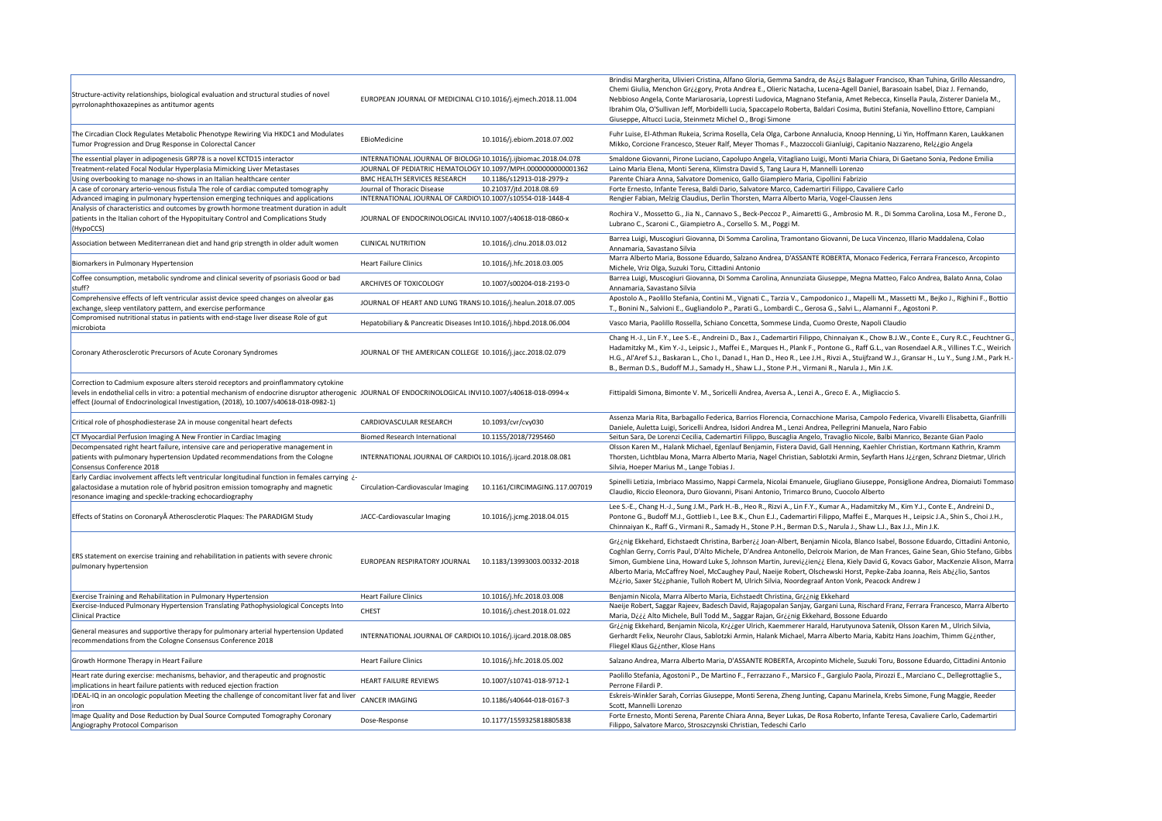| Structure-activity relationships, biological evaluation and structural studies of novel |
|-----------------------------------------------------------------------------------------|
| pyrrolonaphthoxazepines as antitumor agents                                             |

EUROPEAN JOURNAL OF MEDICINAL CI10.1016/j.ejmech.2018.11.004

Brindisi Margherita, Ulivieri Cristina, Alfano Gloria, Gemma Sandra, de As¿¿s Balaguer Francisco, Khan Tuhina, Grillo Alessandro, Chemi Giulia, Menchon Gr¿¿gory, Prota Andrea E., Olieric Natacha, Lucena-Agell Daniel, Barasoain Isabel, Diaz J. Fernando, Nebbioso Angela, Conte Mariarosaria, Lopresti Ludovica, Magnano Stefania, Amet Rebecca, Kinsella Paula, Zisterer Daniela M., Ibrahim Ola, O'Sullivan Jeff, Morbidelli Lucia, Spaccapelo Roberta, Baldari Cosima, Butini Stefania, Novellino Ettore, Campiani Giuseppe, Altucci Lucia, Steinmetz Michel O., Brogi Simone

| The Circadian Clock Regulates Metabolic Phenotype Rewiring Via HKDC1 and Modulates<br>Tumor Progression and Drug Response in Colorectal Cancer                                                                                                                                                                                            | EBioMedicine                                                      | 10.1016/j.ebiom.2018.07.002    | Fuhr Luise, El-Athman Rukeia, Scrima Rosella, Cela Olga, Carbone Annalucia, Knoop Henning, Li Yin, Hoffmann Karen, Laukkane<br>Mikko, Corcione Francesco, Steuer Ralf, Meyer Thomas F., Mazzoccoli Gianluigi, Capitanio Nazzareno, Rel¿¿gio Angela                                                                                                                                                                                                                                                                                                                                                                          |
|-------------------------------------------------------------------------------------------------------------------------------------------------------------------------------------------------------------------------------------------------------------------------------------------------------------------------------------------|-------------------------------------------------------------------|--------------------------------|-----------------------------------------------------------------------------------------------------------------------------------------------------------------------------------------------------------------------------------------------------------------------------------------------------------------------------------------------------------------------------------------------------------------------------------------------------------------------------------------------------------------------------------------------------------------------------------------------------------------------------|
| The essential player in adipogenesis GRP78 is a novel KCTD15 interactor                                                                                                                                                                                                                                                                   | INTERNATIONAL JOURNAL OF BIOLOGI 10.1016/j.ijbiomac.2018.04.078   |                                | Smaldone Giovanni, Pirone Luciano, Capolupo Angela, Vitagliano Luigi, Monti Maria Chiara, Di Gaetano Sonia, Pedone Emilia                                                                                                                                                                                                                                                                                                                                                                                                                                                                                                   |
| Treatment-related Focal Nodular Hyperplasia Mimicking Liver Metastases                                                                                                                                                                                                                                                                    | JOURNAL OF PEDIATRIC HEMATOLOGY 10.1097/MPH.0000000000001362      |                                | Laino Maria Elena, Monti Serena, Klimstra David S, Tang Laura H, Mannelli Lorenzo                                                                                                                                                                                                                                                                                                                                                                                                                                                                                                                                           |
| Using overbooking to manage no-shows in an Italian healthcare center                                                                                                                                                                                                                                                                      | <b>BMC HEALTH SERVICES RESEARCH</b>                               | 10.1186/s12913-018-2979-z      | Parente Chiara Anna, Salvatore Domenico, Gallo Giampiero Maria, Cipollini Fabrizio                                                                                                                                                                                                                                                                                                                                                                                                                                                                                                                                          |
| A case of coronary arterio-venous fistula The role of cardiac computed tomography                                                                                                                                                                                                                                                         | Journal of Thoracic Disease                                       | 10.21037/jtd.2018.08.69        | Forte Ernesto, Infante Teresa, Baldi Dario, Salvatore Marco, Cademartiri Filippo, Cavaliere Carlo                                                                                                                                                                                                                                                                                                                                                                                                                                                                                                                           |
| Advanced imaging in pulmonary hypertension emerging techniques and applications                                                                                                                                                                                                                                                           | INTERNATIONAL JOURNAL OF CARDIO\10.1007/s10554-018-1448-4         |                                | Rengier Fabian, Melzig Claudius, Derlin Thorsten, Marra Alberto Maria, Vogel-Claussen Jens                                                                                                                                                                                                                                                                                                                                                                                                                                                                                                                                  |
| Analysis of characteristics and outcomes by growth hormone treatment duration in adult                                                                                                                                                                                                                                                    |                                                                   |                                | Rochira V., Mossetto G., Jia N., Cannavo S., Beck-Peccoz P., Aimaretti G., Ambrosio M. R., Di Somma Carolina, Losa M., Ferone I                                                                                                                                                                                                                                                                                                                                                                                                                                                                                             |
| patients in the Italian cohort of the Hypopituitary Control and Complications Study<br>(HypoCCS)                                                                                                                                                                                                                                          | JOURNAL OF ENDOCRINOLOGICAL INV 10.1007/s40618-018-0860-x         |                                | Lubrano C., Scaroni C., Giampietro A., Corsello S. M., Poggi M.                                                                                                                                                                                                                                                                                                                                                                                                                                                                                                                                                             |
| Association between Mediterranean diet and hand grip strength in older adult women                                                                                                                                                                                                                                                        | <b>CLINICAL NUTRITION</b>                                         | 10.1016/j.clnu.2018.03.012     | Barrea Luigi, Muscogiuri Giovanna, Di Somma Carolina, Tramontano Giovanni, De Luca Vincenzo, Illario Maddalena, Colao<br>Annamaria, Savastano Silvia                                                                                                                                                                                                                                                                                                                                                                                                                                                                        |
| <b>Biomarkers in Pulmonary Hypertension</b>                                                                                                                                                                                                                                                                                               | <b>Heart Failure Clinics</b>                                      | 10.1016/j.hfc.2018.03.005      | Marra Alberto Maria, Bossone Eduardo, Salzano Andrea, D'ASSANTE ROBERTA, Monaco Federica, Ferrara Francesco, Arcopinto<br>Michele, Vriz Olga, Suzuki Toru, Cittadini Antonio                                                                                                                                                                                                                                                                                                                                                                                                                                                |
| Coffee consumption, metabolic syndrome and clinical severity of psoriasis Good or bad<br>stuff?                                                                                                                                                                                                                                           | ARCHIVES OF TOXICOLOGY                                            | 10.1007/s00204-018-2193-0      | Barrea Luigi, Muscogiuri Giovanna, Di Somma Carolina, Annunziata Giuseppe, Megna Matteo, Falco Andrea, Balato Anna, Cola<br>Annamaria, Savastano Silvia                                                                                                                                                                                                                                                                                                                                                                                                                                                                     |
| Comprehensive effects of left ventricular assist device speed changes on alveolar gas<br>exchange, sleep ventilatory pattern, and exercise performance                                                                                                                                                                                    | JOURNAL OF HEART AND LUNG TRANS 10.1016/j.healun.2018.07.005      |                                | Apostolo A., Paolillo Stefania, Contini M., Vignati C., Tarzia V., Campodonico J., Mapelli M., Massetti M., Bejko J., Righini F., Bot<br>T., Bonini N., Salvioni E., Gugliandolo P., Parati G., Lombardi C., Gerosa G., Salvi L., Alamanni F., Agostoni P.                                                                                                                                                                                                                                                                                                                                                                  |
| Compromised nutritional status in patients with end-stage liver disease Role of gut<br>microbiota                                                                                                                                                                                                                                         | Hepatobiliary & Pancreatic Diseases In 10.1016/j.hbpd.2018.06.004 |                                | Vasco Maria, Paolillo Rossella, Schiano Concetta, Sommese Linda, Cuomo Oreste, Napoli Claudio                                                                                                                                                                                                                                                                                                                                                                                                                                                                                                                               |
|                                                                                                                                                                                                                                                                                                                                           |                                                                   |                                | Chang H.-J., Lin F.Y., Lee S.-E., Andreini D., Bax J., Cademartiri Filippo, Chinnaiyan K., Chow B.J.W., Conte E., Cury R.C., Feuchtne                                                                                                                                                                                                                                                                                                                                                                                                                                                                                       |
| Coronary Atherosclerotic Precursors of Acute Coronary Syndromes                                                                                                                                                                                                                                                                           | JOURNAL OF THE AMERICAN COLLEGE 10.1016/j.jacc.2018.02.079        |                                | Hadamitzky M., Kim Y.-J., Leipsic J., Maffei E., Marques H., Plank F., Pontone G., Raff G.L., van Rosendael A.R., Villines T.C., Wei<br>H.G., Al'Aref S.J., Baskaran L., Cho I., Danad I., Han D., Heo R., Lee J.H., Rivzi A., Stuijfzand W.J., Gransar H., Lu Y., Sung J.M., Par<br>B., Berman D.S., Budoff M.J., Samady H., Shaw L.J., Stone P.H., Virmani R., Narula J., Min J.K.                                                                                                                                                                                                                                        |
| Correction to Cadmium exposure alters steroid receptors and proinflammatory cytokine<br>levels in endothelial cells in vitro: a potential mechanism of endocrine disruptor atherogenic JOURNAL OF ENDOCRINOLOGICAL INV 10.1007/s40618-018-0994-x<br>effect (Journal of Endocrinological Investigation, (2018), 10.1007/s40618-018-0982-1) |                                                                   |                                | Fittipaldi Simona, Bimonte V. M., Soricelli Andrea, Aversa A., Lenzi A., Greco E. A., Migliaccio S.                                                                                                                                                                                                                                                                                                                                                                                                                                                                                                                         |
| Critical role of phosphodiesterase 2A in mouse congenital heart defects                                                                                                                                                                                                                                                                   | CARDIOVASCULAR RESEARCH                                           | 10.1093/cvr/cvy030             | Assenza Maria Rita, Barbagallo Federica, Barrios Florencia, Cornacchione Marisa, Campolo Federica, Vivarelli Elisabetta, Gianfr<br>Daniele, Auletta Luigi, Soricelli Andrea, Isidori Andrea M., Lenzi Andrea, Pellegrini Manuela, Naro Fabio                                                                                                                                                                                                                                                                                                                                                                                |
| CT Myocardial Perfusion Imaging A New Frontier in Cardiac Imaging                                                                                                                                                                                                                                                                         | <b>Biomed Research International</b>                              | 10.1155/2018/7295460           | Seitun Sara, De Lorenzi Cecilia, Cademartiri Filippo, Buscaglia Angelo, Travaglio Nicole, Balbi Manrico, Bezante Gian Paolo                                                                                                                                                                                                                                                                                                                                                                                                                                                                                                 |
| Decompensated right heart failure, intensive care and perioperative management in<br>patients with pulmonary hypertension Updated recommendations from the Cologne<br>Consensus Conference 2018                                                                                                                                           | INTERNATIONAL JOURNAL OF CARDIOI 10.1016/j.ijcard.2018.08.081     |                                | Olsson Karen M., Halank Michael, Egenlauf Benjamin, Fistera David, Gall Henning, Kaehler Christian, Kortmann Kathrin, Kramm<br>Thorsten, Lichtblau Mona, Marra Alberto Maria, Nagel Christian, Sablotzki Armin, Seyfarth Hans J¿¿rgen, Schranz Dietmar, Ulri<br>Silvia, Hoeper Marius M., Lange Tobias J.                                                                                                                                                                                                                                                                                                                   |
| Early Cardiac involvement affects left ventricular longitudinal function in females carrying i-<br>galactosidase a mutation role of hybrid positron emission tomography and magnetic<br>resonance imaging and speckle-tracking echocardiography                                                                                           | Circulation-Cardiovascular Imaging                                | 10.1161/CIRCIMAGING.117.007019 | Spinelli Letizia, Imbriaco Massimo, Nappi Carmela, Nicolai Emanuele, Giugliano Giuseppe, Ponsiglione Andrea, Diomaiuti Tomr<br>Claudio, Riccio Eleonora, Duro Giovanni, Pisani Antonio, Trimarco Bruno, Cuocolo Alberto                                                                                                                                                                                                                                                                                                                                                                                                     |
| Effects of Statins on Coronary Atherosclerotic Plaques: The PARADIGM Study                                                                                                                                                                                                                                                                | JACC-Cardiovascular Imaging                                       | 10.1016/j.jcmg.2018.04.015     | Lee S.-E., Chang H.-J., Sung J.M., Park H.-B., Heo R., Rizvi A., Lin F.Y., Kumar A., Hadamitzky M., Kim Y.J., Conte E., Andreini D.,<br>Pontone G., Budoff M.J., Gottlieb I., Lee B.K., Chun E.J., Cademartiri Filippo, Maffei E., Marques H., Leipsic J.A., Shin S., Choi J.H<br>Chinnaiyan K., Raff G., Virmani R., Samady H., Stone P.H., Berman D.S., Narula J., Shaw L.J., Bax J.J., Min J.K.                                                                                                                                                                                                                          |
| ERS statement on exercise training and rehabilitation in patients with severe chronic<br>pulmonary hypertension                                                                                                                                                                                                                           | EUROPEAN RESPIRATORY JOURNAL                                      | 10.1183/13993003.00332-2018    | Griing Ekkehard, Eichstaedt Christina, Barberii Joan-Albert, Benjamin Nicola, Blanco Isabel, Bossone Eduardo, Cittadini Anto<br>Coghlan Gerry, Corris Paul, D'Alto Michele, D'Andrea Antonello, Delcroix Marion, de Man Frances, Gaine Sean, Ghio Stefano, G<br>Simon, Gumbiene Lina, Howard Luke S, Johnson Martin, Jurevi¿¿ien¿¿ Elena, Kiely David G, Kovacs Gabor, MacKenzie Alison, N<br>Alberto Maria, McCaffrey Noel, McCaughey Paul, Naeije Robert, Olschewski Horst, Pepke-Zaba Joanna, Reis Ab¿¿lio, Santos<br>M¿¿rio, Saxer St¿¿phanie, Tulloh Robert M, Ulrich Silvia, Noordegraaf Anton Vonk, Peacock Andrew J |
| <b>Exercise Training and Rehabilitation in Pulmonary Hypertension</b>                                                                                                                                                                                                                                                                     | <b>Heart Failure Clinics</b>                                      | 10.1016/j.hfc.2018.03.008      | Benjamin Nicola, Marra Alberto Maria, Eichstaedt Christina, Griing Ekkehard                                                                                                                                                                                                                                                                                                                                                                                                                                                                                                                                                 |
| Exercise-Induced Pulmonary Hypertension Translating Pathophysiological Concepts Into<br><b>Clinical Practice</b>                                                                                                                                                                                                                          | <b>CHEST</b>                                                      | 10.1016/j.chest.2018.01.022    | Naeije Robert, Saggar Rajeev, Badesch David, Rajagopalan Sanjay, Gargani Luna, Rischard Franz, Ferrara Francesco, Marra Albe<br>Maria, Diji Alto Michele, Bull Todd M., Saggar Rajan, Grijnig Ekkehard, Bossone Eduardo                                                                                                                                                                                                                                                                                                                                                                                                     |
| General measures and supportive therapy for pulmonary arterial hypertension Updated<br>recommendations from the Cologne Consensus Conference 2018                                                                                                                                                                                         | INTERNATIONAL JOURNAL OF CARDIOI 10.1016/j.ijcard.2018.08.085     |                                | Griing Ekkehard, Benjamin Nicola, Kriiger Ulrich, Kaemmerer Harald, Harutyunova Satenik, Olsson Karen M., Ulrich Silvia,<br>Gerhardt Felix, Neurohr Claus, Sablotzki Armin, Halank Michael, Marra Alberto Maria, Kabitz Hans Joachim, Thimm Giinther,<br>Fliegel Klaus Giinther, Klose Hans                                                                                                                                                                                                                                                                                                                                 |
| Growth Hormone Therapy in Heart Failure                                                                                                                                                                                                                                                                                                   | <b>Heart Failure Clinics</b>                                      | 10.1016/j.hfc.2018.05.002      | Salzano Andrea, Marra Alberto Maria, D'ASSANTE ROBERTA, Arcopinto Michele, Suzuki Toru, Bossone Eduardo, Cittadini Anton                                                                                                                                                                                                                                                                                                                                                                                                                                                                                                    |
| Heart rate during exercise: mechanisms, behavior, and therapeutic and prognostic<br>implications in heart failure patients with reduced ejection fraction                                                                                                                                                                                 | <b>HEART FAILURE REVIEWS</b>                                      | 10.1007/s10741-018-9712-1      | Paolillo Stefania, Agostoni P., De Martino F., Ferrazzano F., Marsico F., Gargiulo Paola, Pirozzi E., Marciano C., Dellegrottaglie S.<br>Perrone Filardi P.                                                                                                                                                                                                                                                                                                                                                                                                                                                                 |
| IDEAL-IQ in an oncologic population Meeting the challenge of concomitant liver fat and liver<br><b>Iron</b>                                                                                                                                                                                                                               | <b>CANCER IMAGING</b>                                             | 10.1186/s40644-018-0167-3      | Eskreis-Winkler Sarah, Corrias Giuseppe, Monti Serena, Zheng Junting, Capanu Marinela, Krebs Simone, Fung Maggie, Reeder<br>Scott, Mannelli Lorenzo                                                                                                                                                                                                                                                                                                                                                                                                                                                                         |
| Image Quality and Dose Reduction by Dual Source Computed Tomography Coronary<br>Angiography Protocol Comparison                                                                                                                                                                                                                           | Dose-Response                                                     | 10.1177/1559325818805838       | Forte Ernesto, Monti Serena, Parente Chiara Anna, Beyer Lukas, De Rosa Roberto, Infante Teresa, Cavaliere Carlo, Cademartiri<br>Filippo, Salvatore Marco, Stroszczynski Christian, Tedeschi Carlo                                                                                                                                                                                                                                                                                                                                                                                                                           |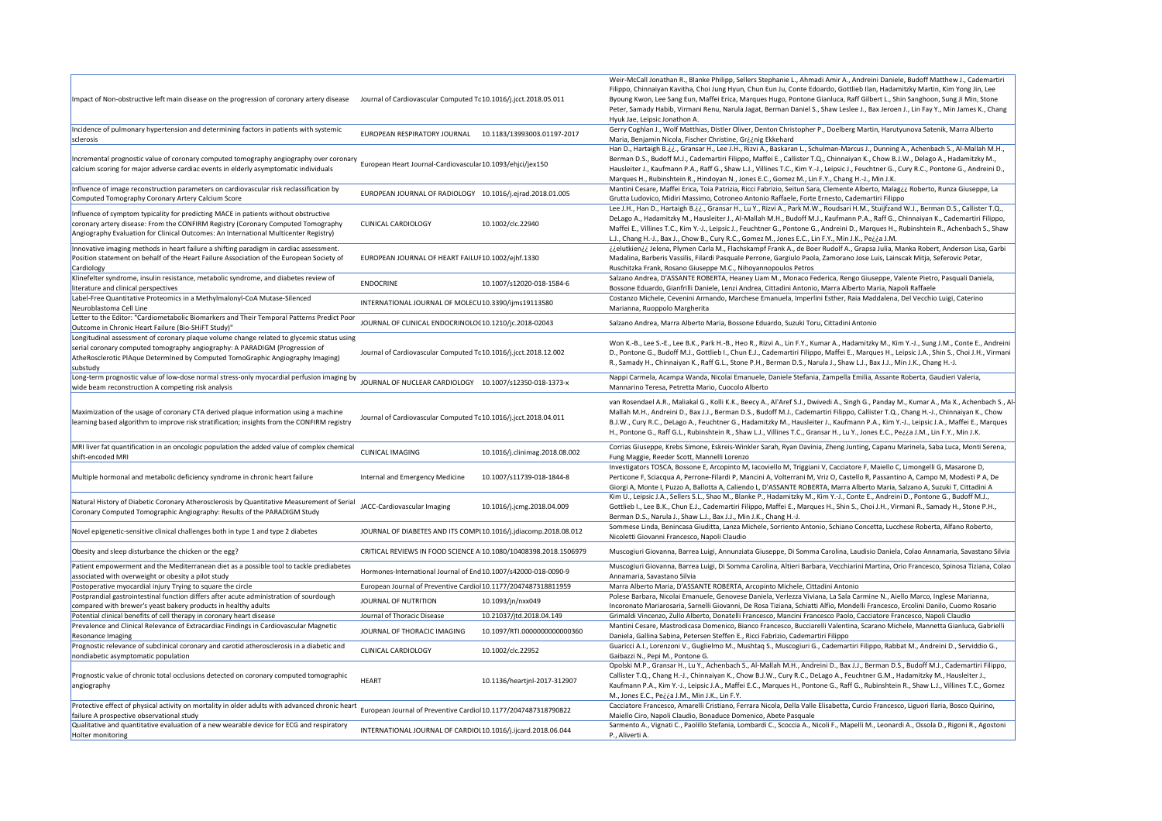rry Coghlan J., Wolf Matthias, Distler Oliver, Denton Christopher P., Doelberg Martin, Harutyunova Satenik, Marra Alberto Maria, Benjamin Nicola, Fischer Christine, Gr¿¿nig Ekkehard

Han D., Hartaigh B.¿¿., Gransar H., Lee J.H., Rizvi A., Baskaran L., Schulman-Marcus J., Dunning A., Achenbach S., Al-Mallah M.H., rman D.S., Budoff M.J., Cademartiri Filippo, Maffei E., Callister T.Q., Chinnaiyan K., Chow B.J.W., Delago A., Hadamitzky M., usleiter J., Kaufmann P.A., Raff G., Shaw L.J., Villines T.C., Kim Y.-J., Leipsic J., Feuchtner G., Cury R.C., Pontone G., Andreini D., Irques H., Rubinshtein R., Hindoyan N., Jones E.C., Gomez M., Lin F.Y., Chang H.-J., Min J.K.

ıntini Cesare, Maffei Erica, Toia Patrizia, Ricci Fabrizio, Seitun Sara, Clemente Alberto, Malag¿¿ Roberto, Runza Giuseppe, La utta Ludovico, Midiri Massimo, Cotroneo Antonio Raffaele, Forte Ernesto, Cademartiri Filippo

Lee J.H., Han D., Hartaigh B.¿¿., Gransar H., Lu Y., Rizvi A., Park M.W., Roudsari H.M., Stuijfzand W.J., Berman D.S., Callister T.Q., Lago A., Hadamitzky M., Hausleiter J., Al-Mallah M.H., Budoff M.J., Kaufmann P.A., Raff G., Chinnaiyan K., Cademartiri Filippo, Maffei E., Villines T.C., Kim Y.-J., Leipsic J., Feuchtner G., Pontone G., Andreini D., Marques H., Rubinshtein R., Achenbach S., Shaw , Chang H.-J., Bax J., Chow B., Cury R.C., Gomez M., Jones E.C., Lin F.Y., Min J.K., Pe¿¿a J.M.

¿¿elutkien¿¿ Jelena, Plymen Carla M., Flachskampf Frank A., de Boer Rudolf A., Grapsa Julia, Manka Robert, Anderson Lisa, Garbi ıdalina, Barberis Vassilis, Filardi Pasquale Perrone, Gargiulo Paola, Zamorano Jose Luis, Lainscak Mitja, Seferovic Petar, schitzka Frank, Rosano Giuseppe M.C., Nihoyannopoulos Petros

zano Andrea, D'ASSANTE ROBERTA, Heaney Liam M., Monaco Federica, Rengo Giuseppe, Valente Pietro, Pasquali Daniela, ssone Eduardo, Gianfrilli Daniele, Lenzi Andrea, Cittadini Antonio, Marra Alberto Maria, Napoli Raffaele

stanzo Michele, Cevenini Armando, Marchese Emanuela, Imperlini Esther, Raia Maddalena, Del Vecchio Luigi, Caterino ırianna, Ruoppolo Margherita

zano Andrea, Marra Alberto Maria, Bossone Eduardo, Suzuki Toru, Cittadini Antonio

on K.-B., Lee S.-E., Lee B.K., Park H.-B., Heo R., Rizvi A., Lin F.Y., Kumar A., Hadamitzky M., Kim Y.-J., Sung J.M., Conte E., Andreini Pontone G., Budoff M.J., Gottlieb I., Chun E.J., Cademartiri Filippo, Maffei E., Marques H., Leipsic J.A., Shin S., Choi J.H., Virmani Samady H., Chinnaiyan K., Raff G.L., Stone P.H., Berman D.S., Narula J., Shaw L.J., Bax J.J., Min J.K., Chang H.-J.

ppi Carmela, Acampa Wanda, Nicolai Emanuele, Daniele Stefania, Zampella Emilia, Assante Roberta, Gaudieri Valeria, Mannarino Teresa, Petretta Mario, Cuocolo Alberto

van Rosendael A.R., Maliakal G., Kolli K.K., Beecy A., Al'Aref S.J., Dwivedi A., Singh G., Panday M., Kumar A., Ma X., Achenbach S., Al-Mallah M.H., Andreini D., Bax J.J., Berman D.S., Budoff M.J., Cademartiri Filippo, Callister T.Q., Chang H.-J., Chinnaiyan K., Chow .W., Cury R.C., DeLago A., Feuchtner G., Hadamitzky M., Hausleiter J., Kaufmann P.A., Kim Y.-J., Leipsic J.A., Maffei E., Marques Pontone G., Raff G.L., Rubinshtein R., Shaw L.J., Villines T.C., Gransar H., Lu Y., Jones E.C., Pe¿¿a J.M., Lin F.Y., Min J.K.

rrias Giuseppe, Krebs Simone, Eskreis-Winkler Sarah, Ryan Davinia, Zheng Junting, Capanu Marinela, Saba Luca, Monti Serena, 1g Maggie, Reeder Scott, Mannelli Lorenzo

estigators TOSCA, Bossone E, Arcopinto M, Iacoviello M, Triggiani V, Cacciatore F, Maiello C, Limongelli G, Masarone D, rticone F, Sciacqua A, Perrone-Filardi P, Mancini A, Volterrani M, Vriz O, Castello R, Passantino A, Campo M, Modesti P A, De orgi A, Monte I, Puzzo A, Ballotta A, Caliendo L, D'ASSANTE ROBERTA, Marra Alberto Maria, Salzano A, Suzuki T, Cittadini A n U., Leipsic J.A., Sellers S.L., Shao M., Blanke P., Hadamitzky M., Kim Y.-J., Conte E., Andreini D., Pontone G., Budoff M.J., ttlieb I., Lee B.K., Chun E.J., Cademartiri Filippo, Maffei E., Marques H., Shin S., Choi J.H., Virmani R., Samady H., Stone P.H., rman D.S., Narula J., Shaw L.J., Bax J.J., Min J.K., Chang H.-J.

mmese Linda, Benincasa Giuditta, Lanza Michele, Sorriento Antonio, Schiano Concetta, Lucchese Roberta, Alfano Roberto, coletti Giovanni Francesco, Napoli Claudio

iscogiuri Giovanna, Barrea Luigi, Annunziata Giuseppe, Di Somma Carolina, Laudisio Daniela, Colao Annamaria, Savastano Silvia

iscogiuri Giovanna, Barrea Luigi, Di Somma Carolina, Altieri Barbara, Vecchiarini Martina, Orio Francesco, Spinosa Tiziana, Colao namaria, Savastano Silvia

Irra Alberto Maria, D'ASSANTE ROBERTA, Arcopinto Michele, Cittadini Antonio

lese Barbara, Nicolai Emanuele, Genovese Daniela, Verlezza Viviana, La Sala Carmine N., Aiello Marco, Inglese Marianna, oronato Mariarosaria, Sarnelli Giovanni, De Rosa Tiziana, Schiatti Alfio, Mondelli Francesco, Ercolini Danilo, Cuomo Rosario maldi Vincenzo, Zullo Alberto, Donatelli Francesco, Mancini Francesco Paolo, Cacciatore Francesco, Napoli Claudio

Intini Cesare, Mastrodicasa Domenico, Bianco Francesco, Bucciarelli Valentina, Scarano Michele, Mannetta Gianluca, Gabrielli niela, Gallina Sabina, Petersen Steffen E., Ricci Fabrizio, Cademartiri Filippo

aricci A.I., Lorenzoni V., Guglielmo M., Mushtaq S., Muscogiuri G., Cademartiri Filippo, Rabbat M., Andreini D., Serviddio G., ibazzi N., Pepi M., Pontone G.

Opolski M.P., Gransar H., Lu Y., Achenbach S., Al-Mallah M.H., Andreini D., Bax J.J., Berman D.S., Budoff M.J., Cademartiri Filippo, lister T.Q., Chang H.-J., Chinnaiyan K., Chow B.J.W., Cury R.C., DeLago A., Feuchtner G.M., Hadamitzky M., Hausleiter J., ufmann P.A., Kim Y.-J., Leipsic J.A., Maffei E.C., Marques H., Pontone G., Raff G., Rubinshtein R., Shaw L.J., Villines T.C., Gomez

M., Jones E.C., Pe¿¿a J.M., Min J.K., Lin F.Y. cciatore Francesco, Amarelli Cristiano, Ferrara Nicola, Della Valle Elisabetta, Curcio Francesco, Liguori Ilaria, Bosco Quirino,

iiello Ciro, Napoli Claudio, Bonaduce Domenico, Abete Pasquale

mento A., Vignati C., Paolillo Stefania, Lombardi C., Scoccia A., Nicoli F., Mapelli M., Leonardi A., Ossola D., Rigoni R., Agostoni Aliverti A.

|                                                                                                                                                   |                                                                  |                                | we                |  |
|---------------------------------------------------------------------------------------------------------------------------------------------------|------------------------------------------------------------------|--------------------------------|-------------------|--|
| Impact of Non-obstructive left main disease on the progression of coronary artery disease                                                         | Journal of Cardiovascular Computed Tc 10.1016/j.jcct.2018.05.011 |                                | Filip             |  |
|                                                                                                                                                   |                                                                  |                                | Byc<br>Pet        |  |
|                                                                                                                                                   |                                                                  |                                | Hyu               |  |
| Incidence of pulmonary hypertension and determining factors in patients with systemic                                                             |                                                                  |                                | Ger               |  |
| sclerosis                                                                                                                                         | EUROPEAN RESPIRATORY JOURNAL                                     | 10.1183/13993003.01197-2017    | Ma                |  |
|                                                                                                                                                   |                                                                  |                                | Har               |  |
| Incremental prognostic value of coronary computed tomography angiography over coronary                                                            | European Heart Journal-Cardiovascular 10.1093/ehjci/jex150       |                                | Ber               |  |
| calcium scoring for major adverse cardiac events in elderly asymptomatic individuals                                                              |                                                                  |                                | Hau               |  |
|                                                                                                                                                   |                                                                  |                                | Ma                |  |
| Influence of image reconstruction parameters on cardiovascular risk reclassification by                                                           | EUROPEAN JOURNAL OF RADIOLOGY 10.1016/j.ejrad.2018.01.005        |                                | Ma                |  |
| Computed Tomography Coronary Artery Calcium Score                                                                                                 |                                                                  |                                | Gru<br>Lee        |  |
| Influence of symptom typicality for predicting MACE in patients without obstructive                                                               |                                                                  |                                | Del               |  |
| coronary artery disease: From the CONFIRM Registry (Coronary Computed Tomography                                                                  | <b>CLINICAL CARDIOLOGY</b>                                       | 10.1002/clc.22940              | Ma                |  |
| Angiography Evaluation for Clinical Outcomes: An International Multicenter Registry)                                                              |                                                                  |                                | L.J.              |  |
| Innovative imaging methods in heart failure a shifting paradigm in cardiac assessment.                                                            |                                                                  |                                | ¿¿e               |  |
| Position statement on behalf of the Heart Failure Association of the European Society of                                                          | EUROPEAN JOURNAL OF HEART FAILUI 10.1002/ejhf.1330               |                                | Ma                |  |
| Cardiology                                                                                                                                        |                                                                  |                                | Rus               |  |
| Klinefelter syndrome, insulin resistance, metabolic syndrome, and diabetes review of                                                              | <b>ENDOCRINE</b>                                                 | 10.1007/s12020-018-1584-6      | Salz              |  |
| literature and clinical perspectives                                                                                                              |                                                                  |                                | Bos               |  |
| Label-Free Quantitative Proteomics in a Methylmalonyl-CoA Mutase-Silenced                                                                         | INTERNATIONAL JOURNAL OF MOLECU 10.3390/ijms19113580             |                                | Cos               |  |
| Neuroblastoma Cell Line                                                                                                                           |                                                                  |                                | Ma                |  |
| Letter to the Editor: "Cardiometabolic Biomarkers and Their Temporal Patterns Predict Poor<br>Outcome in Chronic Heart Failure (Bio-SHiFT Study)" | JOURNAL OF CLINICAL ENDOCRINOLO(10.1210/jc.2018-02043            |                                | Salz              |  |
| Longitudinal assessment of coronary plaque volume change related to glycemic status using                                                         |                                                                  |                                |                   |  |
| serial coronary computed tomography angiography: A PARADIGM (Progression of                                                                       |                                                                  |                                | Wo                |  |
| AtheRosclerotic PlAque DetermIned by Computed TomoGraphic Angiography Imaging)                                                                    | Journal of Cardiovascular Computed Tc 10.1016/j.jcct.2018.12.002 |                                | D.,               |  |
| substudy                                                                                                                                          |                                                                  |                                | R., :             |  |
| Long-term prognostic value of low-dose normal stress-only myocardial perfusion imaging by                                                         | JOURNAL OF NUCLEAR CARDIOLOGY 10.1007/s12350-018-1373-x          |                                | Nap               |  |
| wide beam reconstruction A competing risk analysis                                                                                                |                                                                  |                                | Ma                |  |
|                                                                                                                                                   |                                                                  |                                | van               |  |
| Maximization of the usage of coronary CTA derived plaque information using a machine                                                              |                                                                  |                                |                   |  |
| learning based algorithm to improve risk stratification; insights from the CONFIRM registry                                                       | Journal of Cardiovascular Computed Tc 10.1016/j.jcct.2018.04.011 |                                | Ma<br><b>B.J.</b> |  |
|                                                                                                                                                   |                                                                  |                                | H.,               |  |
| MRI liver fat quantification in an oncologic population the added value of complex chemical                                                       |                                                                  |                                | Cor               |  |
| shift-encoded MRI                                                                                                                                 | <b>CLINICAL IMAGING</b>                                          | 10.1016/j.clinimag.2018.08.002 | Fun               |  |
|                                                                                                                                                   |                                                                  |                                | Inv               |  |
| Multiple hormonal and metabolic deficiency syndrome in chronic heart failure                                                                      | Internal and Emergency Medicine                                  | 10.1007/s11739-018-1844-8      | Per               |  |
|                                                                                                                                                   |                                                                  |                                | Gio               |  |
| Natural History of Diabetic Coronary Atherosclerosis by Quantitative Measurement of Serial                                                        |                                                                  |                                | Kim               |  |
| Coronary Computed Tomographic Angiography: Results of the PARADIGM Study                                                                          | JACC-Cardiovascular Imaging                                      | 10.1016/j.jcmg.2018.04.009     | Got               |  |
|                                                                                                                                                   |                                                                  |                                | Ber               |  |
| Novel epigenetic-sensitive clinical challenges both in type 1 and type 2 diabetes                                                                 | JOURNAL OF DIABETES AND ITS COMPI 10.1016/j.jdiacomp.2018.08.012 |                                | Son               |  |
|                                                                                                                                                   |                                                                  |                                | Nic               |  |
| Obesity and sleep disturbance the chicken or the egg?                                                                                             | CRITICAL REVIEWS IN FOOD SCIENCE A 10.1080/10408398.2018.1506979 |                                | Mu                |  |
| Patient empowerment and the Mediterranean diet as a possible tool to tackle prediabetes                                                           |                                                                  |                                | Mu                |  |
| associated with overweight or obesity a pilot study                                                                                               | Hormones-International Journal of End 10.1007/s42000-018-0090-9  |                                | Anr               |  |
| Postoperative myocardial injury Trying to square the circle                                                                                       | European Journal of Preventive Cardiol 10.1177/2047487318811959  |                                | Ma                |  |
| Postprandial gastrointestinal function differs after acute administration of sourdough                                                            |                                                                  |                                | Pol               |  |
| compared with brewer's yeast bakery products in healthy adults                                                                                    | JOURNAL OF NUTRITION                                             | 10.1093/jn/nxx049              | Inco              |  |
| Potential clinical benefits of cell therapy in coronary heart disease                                                                             | Journal of Thoracic Disease                                      | 10.21037/jtd.2018.04.149       | Grii              |  |
| Prevalence and Clinical Relevance of Extracardiac Findings in Cardiovascular Magnetic                                                             | JOURNAL OF THORACIC IMAGING                                      | 10.1097/RTI.0000000000000360   | Ma                |  |
| <b>Resonance Imaging</b>                                                                                                                          |                                                                  |                                | Dar               |  |
| Prognostic relevance of subclinical coronary and carotid atherosclerosis in a diabetic and                                                        | <b>CLINICAL CARDIOLOGY</b>                                       | 10.1002/clc.22952              | Gua               |  |
| nondiabetic asymptomatic population                                                                                                               |                                                                  |                                | Gai               |  |
| Prognostic value of chronic total occlusions detected on coronary computed tomographic                                                            |                                                                  |                                | Opo<br>Call       |  |
| angiography                                                                                                                                       | <b>HEART</b>                                                     | 10.1136/heartjnl-2017-312907   | Kau               |  |
|                                                                                                                                                   |                                                                  |                                | M.                |  |
| Protective effect of physical activity on mortality in older adults with advanced chronic heart                                                   |                                                                  |                                | Cac               |  |
| failure A prospective observational study                                                                                                         | European Journal of Preventive Cardiol 10.1177/2047487318790822  |                                | Ma                |  |
| Qualitative and quantitative evaluation of a new wearable device for ECG and respiratory                                                          | INTERNATIONAL JOURNAL OF CARDIOI 10.1016/j.ijcard.2018.06.044    |                                | Sar               |  |
| <b>Holter monitoring</b>                                                                                                                          |                                                                  |                                | P.,               |  |
|                                                                                                                                                   |                                                                  |                                |                   |  |

eir-McCall Jonathan R., Blanke Philipp, Sellers Stephanie L., Ahmadi Amir A., Andreini Daniele, Budoff Matthew J., Cademartiri ppo, Chinnaiyan Kavitha, Choi Jung Hyun, Chun Eun Ju, Conte Edoardo, Gottlieb Ilan, Hadamitzky Martin, Kim Yong Jin, Lee oung Kwon, Lee Sang Eun, Maffei Erica, Marques Hugo, Pontone Gianluca, Raff Gilbert L., Shin Sanghoon, Sung Ji Min, Stone ter, Samady Habib, Virmani Renu, Narula Jagat, Berman Daniel S., Shaw Leslee J., Bax Jeroen J., Lin Fay Y., Min James K., Chang uk Jae, Leipsic Jonathon A.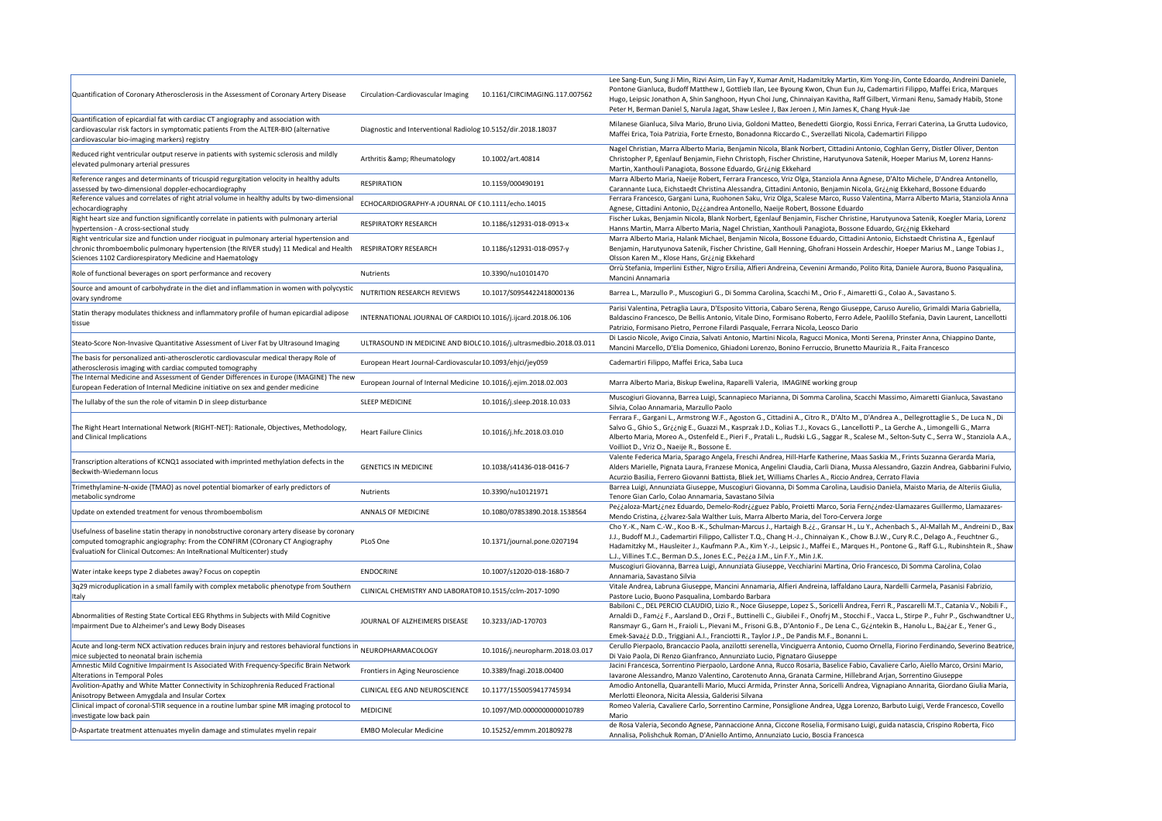| Quantification of Coronary Atherosclerosis in the Assessment of Coronary Artery Disease                                                                                                                                                                    | Circulation-Cardiovascular Imaging                               | 10.1161/CIRCIMAGING.117.007562                                      | Lee Sang-Eun, Sung Ji Min, Rizvi Asim, Lin Fay Y, Kumar Amit, Hadamitzky Martin, Kim Yong-Jin, Conte Edoardo, Andreini Daniele<br>Pontone Gianluca, Budoff Matthew J, Gottlieb Ilan, Lee Byoung Kwon, Chun Eun Ju, Cademartiri Filippo, Maffei Erica, Marques<br>Hugo, Leipsic Jonathon A, Shin Sanghoon, Hyun Choi Jung, Chinnaiyan Kavitha, Raff Gilbert, Virmani Renu, Samady Habib, Stone<br>Peter H, Berman Daniel S, Narula Jagat, Shaw Leslee J, Bax Jeroen J, Min James K, Chang Hyuk-Jae  |
|------------------------------------------------------------------------------------------------------------------------------------------------------------------------------------------------------------------------------------------------------------|------------------------------------------------------------------|---------------------------------------------------------------------|----------------------------------------------------------------------------------------------------------------------------------------------------------------------------------------------------------------------------------------------------------------------------------------------------------------------------------------------------------------------------------------------------------------------------------------------------------------------------------------------------|
| Quantification of epicardial fat with cardiac CT angiography and association with<br>cardiovascular risk factors in symptomatic patients From the ALTER-BIO (alternative<br>cardiovascular bio-imaging markers) registry                                   | Diagnostic and Interventional Radiolog 10.5152/dir.2018.18037    |                                                                     | Milanese Gianluca, Silva Mario, Bruno Livia, Goldoni Matteo, Benedetti Giorgio, Rossi Enrica, Ferrari Caterina, La Grutta Ludovico<br>Maffei Erica, Toia Patrizia, Forte Ernesto, Bonadonna Riccardo C., Sverzellati Nicola, Cademartiri Filippo                                                                                                                                                                                                                                                   |
| Reduced right ventricular output reserve in patients with systemic sclerosis and mildly<br>elevated pulmonary arterial pressures                                                                                                                           | Arthritis & Rheumatology                                         | 10.1002/art.40814                                                   | Nagel Christian, Marra Alberto Maria, Benjamin Nicola, Blank Norbert, Cittadini Antonio, Coghlan Gerry, Distler Oliver, Denton<br>Christopher P, Egenlauf Benjamin, Fiehn Christoph, Fischer Christine, Harutyunova Satenik, Hoeper Marius M, Lorenz Hanns-<br>Martin, Xanthouli Panagiota, Bossone Eduardo, Gr¿¿nig Ekkehard                                                                                                                                                                      |
| Reference ranges and determinants of tricuspid regurgitation velocity in healthy adults<br>assessed by two-dimensional doppler-echocardiography                                                                                                            | <b>RESPIRATION</b>                                               | 10.1159/000490191                                                   | Marra Alberto Maria, Naeije Robert, Ferrara Francesco, Vriz Olga, Stanziola Anna Agnese, D'Alto Michele, D'Andrea Antonello,<br>Carannante Luca, Eichstaedt Christina Alessandra, Cittadini Antonio, Benjamin Nicola, Griing Ekkehard, Bossone Eduardo                                                                                                                                                                                                                                             |
| Reference values and correlates of right atrial volume in healthy adults by two-dimensional<br>echocardiography                                                                                                                                            | ECHOCARDIOGRAPHY-A JOURNAL OF (10.1111/echo.14015                |                                                                     | Ferrara Francesco, Gargani Luna, Ruohonen Saku, Vriz Olga, Scalese Marco, Russo Valentina, Marra Alberto Maria, Stanziola Anr<br>Agnese, Cittadini Antonio, Diiiandrea Antonello, Naeije Robert, Bossone Eduardo                                                                                                                                                                                                                                                                                   |
| Right heart size and function significantly correlate in patients with pulmonary arterial<br>hypertension - A cross-sectional study                                                                                                                        | <b>RESPIRATORY RESEARCH</b>                                      | 10.1186/s12931-018-0913-x                                           | Fischer Lukas, Benjamin Nicola, Blank Norbert, Egenlauf Benjamin, Fischer Christine, Harutyunova Satenik, Koegler Maria, Loren<br>Hanns Martin, Marra Alberto Maria, Nagel Christian, Xanthouli Panagiota, Bossone Eduardo, Gr¿¿nig Ekkehard                                                                                                                                                                                                                                                       |
| Right ventricular size and function under riociguat in pulmonary arterial hypertension and<br>chronic thromboembolic pulmonary hypertension (the RIVER study) 11 Medical and Health<br>Sciences 1102 Cardiorespiratory Medicine and Haematology            | <b>RESPIRATORY RESEARCH</b>                                      | 10.1186/s12931-018-0957-y                                           | Marra Alberto Maria, Halank Michael, Benjamin Nicola, Bossone Eduardo, Cittadini Antonio, Eichstaedt Christina A., Egenlauf<br>Benjamin, Harutyunova Satenik, Fischer Christine, Gall Henning, Ghofrani Hossein Ardeschir, Hoeper Marius M., Lange Tobias J.,<br>Olsson Karen M., Klose Hans, Griing Ekkehard                                                                                                                                                                                      |
| Role of functional beverages on sport performance and recovery                                                                                                                                                                                             | <b>Nutrients</b>                                                 | 10.3390/nu10101470                                                  | Orrù Stefania, Imperlini Esther, Nigro Ersilia, Alfieri Andreina, Cevenini Armando, Polito Rita, Daniele Aurora, Buono Pasqualina,<br>Mancini Annamaria                                                                                                                                                                                                                                                                                                                                            |
| Source and amount of carbohydrate in the diet and inflammation in women with polycystic<br>ovary syndrome                                                                                                                                                  | NUTRITION RESEARCH REVIEWS                                       | 10.1017/S0954422418000136                                           | Barrea L., Marzullo P., Muscogiuri G., Di Somma Carolina, Scacchi M., Orio F., Aimaretti G., Colao A., Savastano S.                                                                                                                                                                                                                                                                                                                                                                                |
| Statin therapy modulates thickness and inflammatory profile of human epicardial adipose<br>stissue                                                                                                                                                         | INTERNATIONAL JOURNAL OF CARDIOI 10.1016/j.ijcard.2018.06.106    |                                                                     | Parisi Valentina, Petraglia Laura, D'Esposito Vittoria, Cabaro Serena, Rengo Giuseppe, Caruso Aurelio, Grimaldi Maria Gabriella,<br>Baldascino Francesco, De Bellis Antonio, Vitale Dino, Formisano Roberto, Ferro Adele, Paolillo Stefania, Davin Laurent, Lancellot<br>Patrizio, Formisano Pietro, Perrone Filardi Pasquale, Ferrara Nicola, Leosco Dario                                                                                                                                        |
| Steato-Score Non-Invasive Quantitative Assessment of Liver Fat by Ultrasound Imaging                                                                                                                                                                       |                                                                  | ULTRASOUND IN MEDICINE AND BIOLC 10.1016/j.ultrasmedbio.2018.03.011 | Di Lascio Nicole, Avigo Cinzia, Salvati Antonio, Martini Nicola, Ragucci Monica, Monti Serena, Prinster Anna, Chiappino Dante,<br>Mancini Marcello, D'Elia Domenico, Ghiadoni Lorenzo, Bonino Ferruccio, Brunetto Maurizia R., Faita Francesco                                                                                                                                                                                                                                                     |
| The basis for personalized anti-atherosclerotic cardiovascular medical therapy Role of<br>atherosclerosis imaging with cardiac computed tomography                                                                                                         | European Heart Journal-Cardiovascular 10.1093/ehjci/jey059       |                                                                     | Cademartiri Filippo, Maffei Erica, Saba Luca                                                                                                                                                                                                                                                                                                                                                                                                                                                       |
| The Internal Medicine and Assessment of Gender Differences in Europe (IMAGINE) The new<br>European Federation of Internal Medicine initiative on sex and gender medicine                                                                                   | European Journal of Internal Medicine 10.1016/j.ejim.2018.02.003 |                                                                     | Marra Alberto Maria, Biskup Ewelina, Raparelli Valeria, IMAGINE working group                                                                                                                                                                                                                                                                                                                                                                                                                      |
| The lullaby of the sun the role of vitamin D in sleep disturbance                                                                                                                                                                                          | <b>SLEEP MEDICINE</b>                                            | 10.1016/j.sleep.2018.10.033                                         | Muscogiuri Giovanna, Barrea Luigi, Scannapieco Marianna, Di Somma Carolina, Scacchi Massimo, Aimaretti Gianluca, Savastano<br>Silvia, Colao Annamaria, Marzullo Paolo                                                                                                                                                                                                                                                                                                                              |
| The Right Heart International Network (RIGHT-NET): Rationale, Objectives, Methodology,<br>and Clinical Implications                                                                                                                                        | <b>Heart Failure Clinics</b>                                     | 10.1016/j.hfc.2018.03.010                                           | Ferrara F., Gargani L., Armstrong W.F., Agoston G., Cittadini A., Citro R., D'Alto M., D'Andrea A., Dellegrottaglie S., De Luca N., Di<br>Salvo G., Ghio S., Gr¿¿nig E., Guazzi M., Kasprzak J.D., Kolias T.J., Kovacs G., Lancellotti P., La Gerche A., Limongelli G., Marra<br>Alberto Maria, Moreo A., Ostenfeld E., Pieri F., Pratali L., Rudski L.G., Saggar R., Scalese M., Selton-Suty C., Serra W., Stanziola A.<br>Voilliot D., Vriz O., Naeije R., Bossone E.                            |
| Transcription alterations of KCNQ1 associated with imprinted methylation defects in the<br>Beckwith-Wiedemann locus                                                                                                                                        | <b>GENETICS IN MEDICINE</b>                                      | 10.1038/s41436-018-0416-7                                           | Valente Federica Maria, Sparago Angela, Freschi Andrea, Hill-Harfe Katherine, Maas Saskia M., Frints Suzanna Gerarda Maria,<br>Alders Marielle, Pignata Laura, Franzese Monica, Angelini Claudia, Carli Diana, Mussa Alessandro, Gazzin Andrea, Gabbarini Fulv<br>Acurzio Basilia, Ferrero Giovanni Battista, Bliek Jet, Williams Charles A., Riccio Andrea, Cerrato Flavia                                                                                                                        |
| Trimethylamine-N-oxide (TMAO) as novel potential biomarker of early predictors of<br>metabolic syndrome                                                                                                                                                    | <b>Nutrients</b>                                                 | 10.3390/nu10121971                                                  | Barrea Luigi, Annunziata Giuseppe, Muscogiuri Giovanna, Di Somma Carolina, Laudisio Daniela, Maisto Maria, de Alteriis Giulia,<br>Tenore Gian Carlo, Colao Annamaria, Savastano Silvia                                                                                                                                                                                                                                                                                                             |
| Update on extended treatment for venous thromboembolism                                                                                                                                                                                                    | <b>ANNALS OF MEDICINE</b>                                        | 10.1080/07853890.2018.1538564                                       | Pe¿¿aloza-Mart¿¿nez Eduardo, Demelo-Rodr¿¿guez Pablo, Proietti Marco, Soria Fern¿¿ndez-Llamazares Guillermo, Llamazares-<br>Mendo Cristina, ¿¿Ivarez-Sala Walther Luis, Marra Alberto Maria, del Toro-Cervera Jorge                                                                                                                                                                                                                                                                                |
| Usefulness of baseline statin therapy in nonobstructive coronary artery disease by coronary<br>computed tomographic angiography: From the CONFIRM (COronary CT Angiography<br><b>EvaluatioN</b> for Clinical Outcomes: An InteRnational Multicenter) study | PLoS One                                                         | 10.1371/journal.pone.0207194                                        | Cho Y.-K., Nam C.-W., Koo B.-K., Schulman-Marcus J., Hartaigh B.¿¿., Gransar H., Lu Y., Achenbach S., Al-Mallah M., Andreini D., I<br>J.J., Budoff M.J., Cademartiri Filippo, Callister T.Q., Chang H.-J., Chinnaiyan K., Chow B.J.W., Cury R.C., Delago A., Feuchtner G.,<br>Hadamitzky M., Hausleiter J., Kaufmann P.A., Kim Y.-J., Leipsic J., Maffei E., Marques H., Pontone G., Raff G.L., Rubinshtein R., Sh<br>L.J., Villines T.C., Berman D.S., Jones E.C., Pe¿¿a J.M., Lin F.Y., Min J.K. |
| Water intake keeps type 2 diabetes away? Focus on copeptin                                                                                                                                                                                                 | <b>ENDOCRINE</b>                                                 | 10.1007/s12020-018-1680-7                                           | Muscogiuri Giovanna, Barrea Luigi, Annunziata Giuseppe, Vecchiarini Martina, Orio Francesco, Di Somma Carolina, Colao<br>Annamaria, Savastano Silvia                                                                                                                                                                                                                                                                                                                                               |
| 3q29 microduplication in a small family with complex metabolic phenotype from Southern<br> Italy                                                                                                                                                           | CLINICAL CHEMISTRY AND LABORATOF 10.1515/cclm-2017-1090          |                                                                     | Vitale Andrea, Labruna Giuseppe, Mancini Annamaria, Alfieri Andreina, Iaffaldano Laura, Nardelli Carmela, Pasanisi Fabrizio,<br>Pastore Lucio, Buono Pasqualina, Lombardo Barbara                                                                                                                                                                                                                                                                                                                  |
| Abnormalities of Resting State Cortical EEG Rhythms in Subjects with Mild Cognitive<br>Impairment Due to Alzheimer's and Lewy Body Diseases                                                                                                                | JOURNAL OF ALZHEIMERS DISEASE                                    | 10.3233/JAD-170703                                                  | Babiloni C., DEL PERCIO CLAUDIO, Lizio R., Noce Giuseppe, Lopez S., Soricelli Andrea, Ferri R., Pascarelli M.T., Catania V., Nobili F<br>Arnaldi D., Fam¿¿ F., Aarsland D., Orzi F., Buttinelli C., Giubilei F., Onofrj M., Stocchi F., Vacca L., Stirpe P., Fuhr P., Gschwandtner<br>Ransmayr G., Garn H., Fraioli L., Pievani M., Frisoni G.B., D'Antonio F., De Lena C., Giintekin B., Hanolu L., Baiiar E., Yener G.,                                                                          |
| Acute and long-term NCX activation reduces brain injury and restores behavioral functions in                                                                                                                                                               | NEUROPHARMACOLOGY                                                | 10.1016/j.neuropharm.2018.03.017                                    | Emek-Sava¿¿ D.D., Triggiani A.I., Franciotti R., Taylor J.P., De Pandis M.F., Bonanni L.<br>Cerullo Pierpaolo, Brancaccio Paola, anzilotti serenella, Vinciguerra Antonio, Cuomo Ornella, Fiorino Ferdinando, Severino Beatr                                                                                                                                                                                                                                                                       |
| mice subjected to neonatal brain ischemia<br>Amnestic Mild Cognitive Impairment Is Associated With Frequency-Specific Brain Network                                                                                                                        | Frontiers in Aging Neuroscience                                  | 10.3389/fnagi.2018.00400                                            | Di Vaio Paola, Di Renzo Gianfranco, Annunziato Lucio, Pignataro Giuseppe<br>Jacini Francesca, Sorrentino Pierpaolo, Lardone Anna, Rucco Rosaria, Baselice Fabio, Cavaliere Carlo, Aiello Marco, Orsini Mario,                                                                                                                                                                                                                                                                                      |
| Alterations in Temporal Poles<br>Avolition-Apathy and White Matter Connectivity in Schizophrenia Reduced Fractional                                                                                                                                        | CLINICAL EEG AND NEUROSCIENCE                                    | 10.1177/1550059417745934                                            | Iavarone Alessandro, Manzo Valentino, Carotenuto Anna, Granata Carmine, Hillebrand Arjan, Sorrentino Giuseppe<br>Amodio Antonella, Quarantelli Mario, Mucci Armida, Prinster Anna, Soricelli Andrea, Vignapiano Annarita, Giordano Giulia Mari                                                                                                                                                                                                                                                     |
| Anisotropy Between Amygdala and Insular Cortex<br>Clinical impact of coronal-STIR sequence in a routine lumbar spine MR imaging protocol to                                                                                                                | <b>MEDICINE</b>                                                  | 10.1097/MD.0000000000010789                                         | Merlotti Eleonora, Nicita Alessia, Galderisi Silvana<br>Romeo Valeria, Cavaliere Carlo, Sorrentino Carmine, Ponsiglione Andrea, Ugga Lorenzo, Barbuto Luigi, Verde Francesco, Covello                                                                                                                                                                                                                                                                                                              |
| investigate low back pain<br>D-Aspartate treatment attenuates myelin damage and stimulates myelin repair                                                                                                                                                   | <b>EMBO Molecular Medicine</b>                                   | 10.15252/emmm.201809278                                             | Mario<br>de Rosa Valeria, Secondo Agnese, Pannaccione Anna, Ciccone Roselia, Formisano Luigi, guida natascia, Crispino Roberta, Fico<br>Annalisa, Polishchuk Roman, D'Aniello Antimo, Annunziato Lucio, Boscia Francesca                                                                                                                                                                                                                                                                           |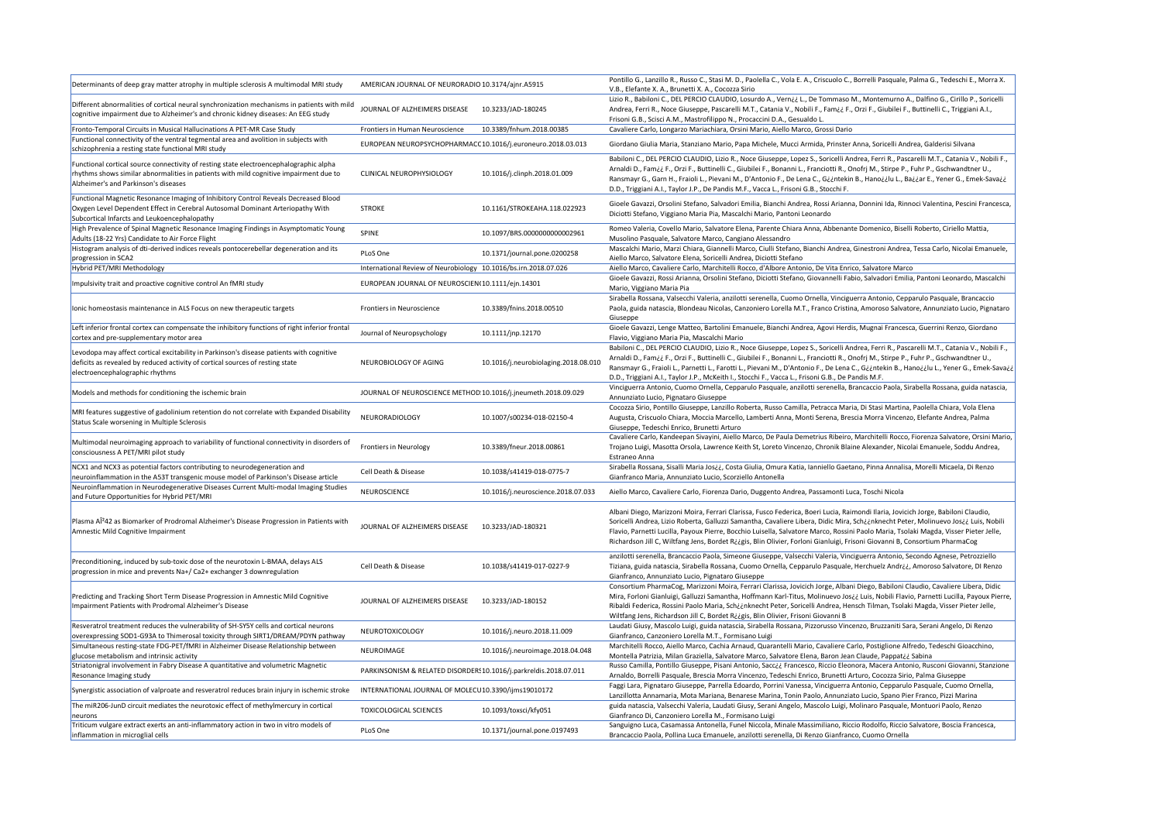abella Rossana, Sisalli Maria Jos¿¿, Costa Giulia, Omura Katia, Ianniello Gaetano, Pinna Annalisa, Morelli Micaela, Di Renzo Gianfranco Maria, Annunziato Lucio, Scorziello Antonella

ello Marco, Cavaliere Carlo, Fiorenza Dario, Duggento Andrea, Passamonti Luca, Toschi Nicola

ani Diego, Marizzoni Moira, Ferrari Clarissa, Fusco Federica, Boeri Lucia, Raimondi Ilaria, Jovicich Jorge, Babiloni Claudio, icelli Andrea, Lizio Roberta, Galluzzi Samantha, Cavaliere Libera, Didic Mira, Sch¿¿nknecht Peter, Molinuevo Jos¿¿ Luis, Nobili vio, Parnetti Lucilla, Payoux Pierre, Bocchio Luisella, Salvatore Marco, Rossini Paolo Maria, Tsolaki Magda, Visser Pieter Jelle, hardson Jill C, Wiltfang Jens, Bordet R¿¿gis, Blin Olivier, Forloni Gianluigi, Frisoni Giovanni B, Consortium PharmaCog

zilotti serenella, Brancaccio Paola, Simeone Giuseppe, Valsecchi Valeria, Vinciguerra Antonio, Secondo Agnese, Petrozziello iana, guida natascia, Sirabella Rossana, Cuomo Ornella, Cepparulo Pasquale, Herchuelz Andr¿¿, Amoroso Salvatore, DI Renzo Infranco, Annunziato Lucio, Pignataro Giuseppe

nsortium PharmaCog, Marizzoni Moira, Ferrari Clarissa, Jovicich Jorge, Albani Diego, Babiloni Claudio, Cavaliere Libera, Didic ra, Forloni Gianluigi, Galluzzi Samantha, Hoffmann Karl-Titus, Molinuevo Jos¿¿ Luis, Nobili Flavio, Parnetti Lucilla, Payoux Pierre, aldi Federica, Rossini Paolo Maria, Sch¿¿nknecht Peter, Soricelli Andrea, Hensch Tilman, Tsolaki Magda, Visser Pieter Jelle, Itfang Jens, Richardson Jill C, Bordet R¿¿gis, Blin Olivier, Frisoni Giovanni B

ıdati Giusy, Mascolo Luigi, guida natascia, Sirabella Rossana, Pizzorusso Vincenzo, Bruzzaniti Sara, Serani Angelo, Di Renzo Infranco, Canzoniero Lorella M.T., Formisano Luigi

irchitelli Rocco, Aiello Marco, Cachia Arnaud, Quarantelli Mario, Cavaliere Carlo, Postiglione Alfredo, Tedeschi Gioacchino, Montella Patrizia, Milan Graziella, Salvatore Marco, Salvatore Elena, Baron Jean Claude, Pappat¿¿ Sabina

sso Camilla, Pontillo Giuseppe, Pisani Antonio, Sacc¿¿ Francesco, Riccio Eleonora, Macera Antonio, Rusconi Giovanni, Stanzione naldo, Borrelli Pasquale, Brescia Morra Vincenzo, Tedeschi Enrico, Brunetti Arturo, Cocozza Sirio, Palma Giuseppe

ggi Lara, Pignataro Giuseppe, Parrella Edoardo, Porrini Vanessa, Vinciguerra Antonio, Cepparulo Pasquale, Cuomo Ornella, izillotta Annamaria, Mota Mariana, Benarese Marina, Tonin Paolo, Annunziato Lucio, Spano Pier Franco, Pizzi Marina ida natascia, Valsecchi Valeria, Laudati Giusy, Serani Angelo, Mascolo Luigi, Molinaro Pasquale, Montuori Paolo, Renzo Infranco Di, Canzoniero Lorella M., Formisano Luigi

nguigno Luca, Casamassa Antonella, Funel Niccola, Minale Massimiliano, Riccio Rodolfo, Riccio Salvatore, Boscia Francesca, Brancaccio Paola, Pollina Luca Emanuele, anzilotti serenella, Di Renzo Gianfranco, Cuomo Ornella

| Determinants of deep gray matter atrophy in multiple sclerosis A multimodal MRI study                                                                                                                                   | AMERICAN JOURNAL OF NEURORADIO 10.3174/ajnr.A5915                 |                                      | Por<br>V.E               |
|-------------------------------------------------------------------------------------------------------------------------------------------------------------------------------------------------------------------------|-------------------------------------------------------------------|--------------------------------------|--------------------------|
| Different abnormalities of cortical neural synchronization mechanisms in patients with mild<br>cognitive impairment due to Alzheimer's and chronic kidney diseases: An EEG study                                        | JOURNAL OF ALZHEIMERS DISEASE                                     | 10.3233/JAD-180245                   | Lizi<br>An<br>Fris       |
| Fronto-Temporal Circuits in Musical Hallucinations A PET-MR Case Study                                                                                                                                                  | Frontiers in Human Neuroscience                                   | 10.3389/fnhum.2018.00385             | Ca                       |
| Functional connectivity of the ventral tegmental area and avolition in subjects with<br>schizophrenia a resting state functional MRI study                                                                              | EUROPEAN NEUROPSYCHOPHARMACC 10.1016/j.euroneuro.2018.03.013      |                                      | Gic                      |
| Functional cortical source connectivity of resting state electroencephalographic alpha<br>rhythms shows similar abnormalities in patients with mild cognitive impairment due to<br>Alzheimer's and Parkinson's diseases | CLINICAL NEUROPHYSIOLOGY                                          | 10.1016/j.clinph.2018.01.009         | Bal<br>Arr<br>Rar<br>D.  |
| Functional Magnetic Resonance Imaging of Inhibitory Control Reveals Decreased Blood<br>Oxygen Level Dependent Effect in Cerebral Autosomal Dominant Arteriopathy With<br>Subcortical Infarcts and Leukoencephalopathy   | <b>STROKE</b>                                                     | 10.1161/STROKEAHA.118.022923         | Gic<br>Dic               |
| High Prevalence of Spinal Magnetic Resonance Imaging Findings in Asymptomatic Young<br>Adults (18-22 Yrs) Candidate to Air Force Flight                                                                                 | <b>SPINE</b>                                                      | 10.1097/BRS.0000000000002961         | Ro<br>Mι                 |
| Histogram analysis of dti-derived indices reveals pontocerebellar degeneration and its<br>progression in SCA2                                                                                                           | PLoS One                                                          | 10.1371/journal.pone.0200258         | Ma<br>Aie                |
| Hybrid PET/MRI Methodology                                                                                                                                                                                              | International Review of Neurobiology 10.1016/bs.irn.2018.07.026   |                                      | Aie                      |
| Impulsivity trait and proactive cognitive control An fMRI study                                                                                                                                                         | EUROPEAN JOURNAL OF NEUROSCIEN(10.1111/ejn.14301                  |                                      | Gic<br>Ma                |
| Ionic homeostasis maintenance in ALS Focus on new therapeutic targets                                                                                                                                                   | <b>Frontiers in Neuroscience</b>                                  | 10.3389/fnins.2018.00510             | Sira<br>Pao<br>Giu       |
| Left inferior frontal cortex can compensate the inhibitory functions of right inferior frontal<br>cortex and pre-supplementary motor area                                                                               | Journal of Neuropsychology                                        | 10.1111/jnp.12170                    | Gic<br>Fla               |
| Levodopa may affect cortical excitability in Parkinson's disease patients with cognitive<br>deficits as revealed by reduced activity of cortical sources of resting state<br>electroencephalographic rhythms            | NEUROBIOLOGY OF AGING                                             | 10.1016/j.neurobiolaging.2018.08.010 | Bal<br>Arr<br>Rai<br>D.D |
| Models and methods for conditioning the ischemic brain                                                                                                                                                                  | JOURNAL OF NEUROSCIENCE METHOD 10.1016/j.jneumeth.2018.09.029     |                                      | Vin<br>An                |
| MRI features suggestive of gadolinium retention do not correlate with Expanded Disability<br>Status Scale worsening in Multiple Sclerosis                                                                               | NEURORADIOLOGY                                                    | 10.1007/s00234-018-02150-4           | Co<br>Au<br>Giu          |
| Multimodal neuroimaging approach to variability of functional connectivity in disorders of<br>consciousness A PET/MRI pilot study                                                                                       | <b>Frontiers in Neurology</b>                                     | 10.3389/fneur.2018.00861             | Ca<br>Trc<br>Est         |
| NCX1 and NCX3 as potential factors contributing to neurodegeneration and<br>neuroinflammation in the A53T transgenic mouse model of Parkinson's Disease article                                                         | Cell Death & Disease                                              | 10.1038/s41419-018-0775-7            | Sira<br>Gia              |
| Neuroinflammation in Neurodegenerative Diseases Current Multi-modal Imaging Studies<br>and Future Opportunities for Hybrid PET/MRI                                                                                      | NEUROSCIENCE                                                      | 10.1016/j.neuroscience.2018.07.033   | Aie                      |
| Plasma AÎ <sup>2</sup> 42 as Biomarker of Prodromal Alzheimer's Disease Progression in Patients with<br>Amnestic Mild Cognitive Impairment                                                                              | JOURNAL OF ALZHEIMERS DISEASE                                     | 10.3233/JAD-180321                   | Alb<br>Sor<br>Fla<br>Ric |
| Preconditioning, induced by sub-toxic dose of the neurotoxin L-BMAA, delays ALS<br>progression in mice and prevents Na+/ Ca2+ exchanger 3 downregulation                                                                | Cell Death & Disease                                              | 10.1038/s41419-017-0227-9            | anz<br>Tizi<br>Gia       |
| Predicting and Tracking Short Term Disease Progression in Amnestic Mild Cognitive<br>Impairment Patients with Prodromal Alzheimer's Disease                                                                             | JOURNAL OF ALZHEIMERS DISEASE                                     | 10.3233/JAD-180152                   | Co<br>Mi<br>Rib<br>Wi    |
| Resveratrol treatment reduces the vulnerability of SH-SY5Y cells and cortical neurons<br>overexpressing SOD1-G93A to Thimerosal toxicity through SIRT1/DREAM/PDYN pathway                                               | NEUROTOXICOLOGY                                                   | 10.1016/j.neuro.2018.11.009          | Lau<br>Gia               |
| Simultaneous resting-state FDG-PET/fMRI in Alzheimer Disease Relationship between<br>glucose metabolism and intrinsic activity                                                                                          | NEUROIMAGE                                                        | 10.1016/j.neuroimage.2018.04.048     | Ma<br>Mc                 |
| Striatonigral involvement in Fabry Disease A quantitative and volumetric Magnetic<br><b>Resonance Imaging study</b>                                                                                                     | PARKINSONISM & RELATED DISORDER: 10.1016/j.parkreldis.2018.07.011 |                                      | Rus<br>Arr               |
| Synergistic association of valproate and resveratrol reduces brain injury in ischemic stroke                                                                                                                            | INTERNATIONAL JOURNAL OF MOLECU 10.3390/ijms19010172              |                                      | Fag<br>Lar               |
| The miR206-JunD circuit mediates the neurotoxic effect of methylmercury in cortical<br>neurons                                                                                                                          | <b>TOXICOLOGICAL SCIENCES</b>                                     | 10.1093/toxsci/kfy051                | gui<br>Gia               |
| Triticum vulgare extract exerts an anti-inflammatory action in two in vitro models of<br>inflammation in microglial cells                                                                                               | PLoS One                                                          | 10.1371/journal.pone.0197493         | Sar<br><b>Bra</b>        |
|                                                                                                                                                                                                                         |                                                                   |                                      |                          |

ntillo G., Lanzillo R., Russo C., Stasi M. D., Paolella C., Vola E. A., Criscuolo C., Borrelli Pasquale, Palma G., Tedeschi E., Morra X. ., Elefante X. A., Brunetti X. A., Cocozza Sirio

io R., Babiloni C., DEL PERCIO CLAUDIO, Losurdo A., Vern¿¿ L., De Tommaso M., Montemurno A., Dalfino G., Cirillo P., Soricelli Andrea, Ferri R., Noce Giuseppe, Pascarelli M.T., Catania V., Nobili F., Fam¿¿ F., Orzi F., Giubilei F., Buttinelli C., Triggiani A.I., soni G.B., Scisci A.M., Mastrofilippo N., Procaccini D.A., Gesualdo L.

valiere Carlo, Longarzo Mariachiara, Orsini Mario, Aiello Marco, Grossi Dario

rrdano Giulia Maria, Stanziano Mario, Papa Michele, Mucci Armida, Prinster Anna, Soricelli Andrea, Galderisi Silvana

biloni C., DEL PERCIO CLAUDIO, Lizio R., Noce Giuseppe, Lopez S., Soricelli Andrea, Ferri R., Pascarelli M.T., Catania V., Nobili F., Arnaldi D., Fam¿¿ F., Orzi F., Buttinelli C., Giubilei F., Bonanni L., Franciotti R., Onofrj M., Stirpe P., Fuhr P., Gschwandtner U., Ransmayr G., Garn H., Fraioli L., Pievani M., D'Antonio F., De Lena C., G¿¿ntekin B., Hano¿¿lu L., Ba¿¿ar E., Yener G., Emek-Sava¿¿ D., Triggiani A.I., Taylor J.P., De Pandis M.F., Vacca L., Frisoni G.B., Stocchi F.

oele Gavazzi, Orsolini Stefano, Salvadori Emilia, Bianchi Andrea, Rossi Arianna, Donnini Ida, Rinnoci Valentina, Pescini Francesca, ziotti Stefano, Viggiano Maria Pia, Mascalchi Mario, Pantoni Leonardo

meo Valeria, Covello Mario, Salvatore Elena, Parente Chiara Anna, Abbenante Domenico, Biselli Roberto, Ciriello Mattia, isolino Pasquale, Salvatore Marco, Cangiano Alessandro

Iscalchi Mario, Marzi Chiara, Giannelli Marco, Ciulli Stefano, Bianchi Andrea, Ginestroni Andrea, Tessa Carlo, Nicolai Emanuele, llo Marco, Salvatore Elena, Soricelli Andrea, Diciotti Stefano

Ho Marco, Cavaliere Carlo, Marchitelli Rocco, d'Albore Antonio, De Vita Enrico, Salvatore Marco,

ele Gavazzi, Rossi Arianna, Orsolini Stefano, Diciotti Stefano, Giovannelli Fabio, Salvadori Emilia, Pantoni Leonardo, Mascalchi Irio, Viggiano Maria Pia

abella Rossana, Valsecchi Valeria, anzilotti serenella, Cuomo Ornella, Vinciguerra Antonio, Cepparulo Pasquale, Brancaccio ola, guida natascia, Blondeau Nicolas, Canzoniero Lorella M.T., Franco Cristina, Amoroso Salvatore, Annunziato Lucio, Pignataro useppe

oele Gavazzi, Lenge Matteo, Bartolini Emanuele, Bianchi Andrea, Agovi Herdis, Mugnai Francesca, Guerrini Renzo, Giordano vio, Viggiano Maria Pia, Mascalchi Mario

biloni C., DEL PERCIO CLAUDIO, Lizio R., Noce Giuseppe, Lopez S., Soricelli Andrea, Ferri R., Pascarelli M.T., Catania V., Nobili F., Arnaldi D., Fam¿¿ F., Orzi F., Buttinelli C., Giubilei F., Bonanni L., Franciotti R., Onofrj M., Stirpe P., Fuhr P., Gschwandtner U., Ransmayr G., Fraioli L., Parnetti L., Farotti L., Pievani M., D'Antonio F., De Lena C., G¿¿ntekin B., Hano¿¿lu L., Yener G., Emek-Sava¿¿ D., Triggiani A.I., Taylor J.P., McKeith I., Stocchi F., Vacca L., Frisoni G.B., De Pandis M.F.

iciguerra Antonio, Cuomo Ornella, Cepparulo Pasquale, anzilotti serenella, Brancaccio Paola, Sirabella Rossana, guida natascia, nunziato Lucio, Pignataro Giuseppe

cozza Sirio, Pontillo Giuseppe, Lanzillo Roberta, Russo Camilla, Petracca Maria, Di Stasi Martina, Paolella Chiara, Vola Elena gusta, Criscuolo Chiara, Moccia Marcello, Lamberti Anna, Monti Serena, Brescia Morra Vincenzo, Elefante Andrea, Palma iseppe, Tedeschi Enrico, Brunetti Arturo

valiere Carlo, Kandeepan Sivayini, Aiello Marco, De Paula Demetrius Ribeiro, Marchitelli Rocco, Fiorenza Salvatore, Orsini Mario, ijano Luigi, Masotta Orsola, Lawrence Keith St, Loreto Vincenzo, Chronik Blaine Alexander, Nicolai Emanuele, Soddu Andrea, raneo Anna